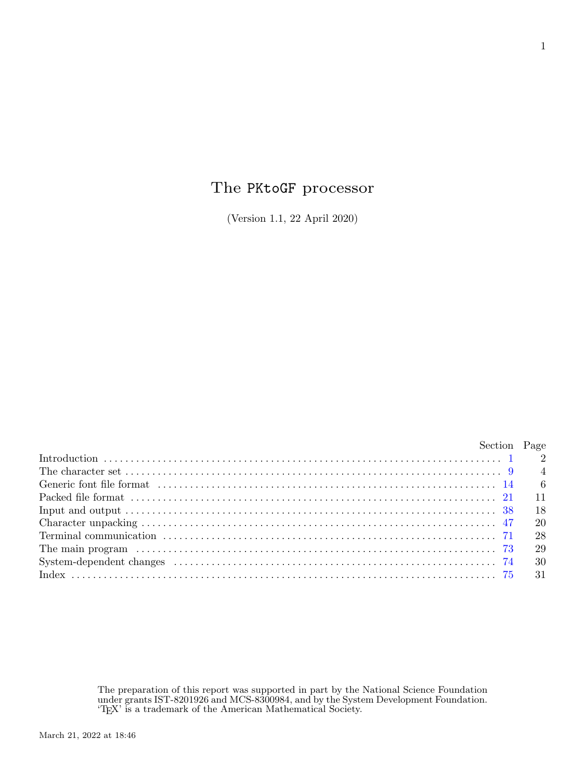# The PKtoGF processor

(Version 1.1, 22 April 2020)

|                                                                                                                                                                                                                                | Section Page |  |
|--------------------------------------------------------------------------------------------------------------------------------------------------------------------------------------------------------------------------------|--------------|--|
|                                                                                                                                                                                                                                |              |  |
|                                                                                                                                                                                                                                |              |  |
|                                                                                                                                                                                                                                |              |  |
|                                                                                                                                                                                                                                |              |  |
|                                                                                                                                                                                                                                |              |  |
|                                                                                                                                                                                                                                |              |  |
|                                                                                                                                                                                                                                |              |  |
|                                                                                                                                                                                                                                |              |  |
| System-dependent changes (a) contain the control of the control of the control of the control of the control of the control of the control of the control of the control of the control of the control of the control of the c |              |  |
|                                                                                                                                                                                                                                |              |  |

The preparation of this report was supported in part by the National Science Foundation under grants IST-8201926 and MCS-8300984, and by the System Development Foundation. 'TEX' is a trademark of the American Mathematical Society.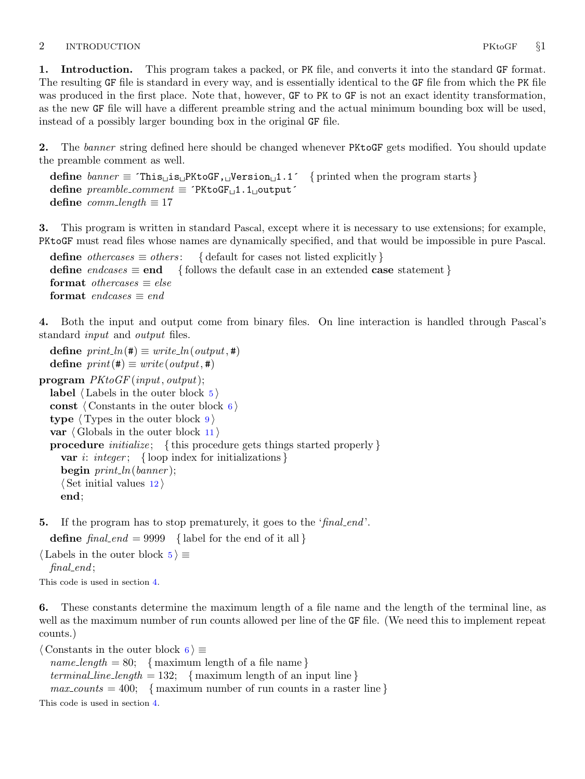#### <span id="page-1-0"></span>2 INTRODUCTION PKtoGF §1

1. Introduction. This program takes a packed, or PK file, and converts it into the standard GF format. The resulting GF file is standard in every way, and is essentially identical to the GF file from which the PK file was produced in the first place. Note that, however, GF to PK to GF is not an exact identity transformation, as the new GF file will have a different preamble string and the actual minimum bounding box will be used, instead of a possibly larger bounding box in the original GF file.

2. The banner string defined here should be changed whenever PKtoGF gets modified. You should update the preamble comment as well.

define banner ≡ ´This is PKtoGF, Version 1.1´ { printed when the program starts } define  $\text{preample}$  comment  $\equiv$  ^PKtoGF $\sqcup$ 1.1 $\sqcup$ output^ define  $comm\_length \equiv 17$ 

3. This program is written in standard Pascal, except where it is necessary to use extensions; for example, PKtoGF must read files whose names are dynamically specified, and that would be impossible in pure Pascal.

define *othercases*  $\equiv$  *others*: { default for cases not listed explicitly } define endcases  $\equiv$  end { follows the default case in an extended case statement } format *othercases*  $\equiv$  *else* format endcases  $\equiv$  end

4. Both the input and output come from binary files. On line interaction is handled through Pascal's standard input and output files.

define  $print\_ln(\texttt{\#}) \equiv write\_ln(output, \texttt{\#})$ define  $print(\texttt{\#}) \equiv write(output, \texttt{\#})$ 

program PKtoGF (input, output);

label  $\langle$  Labels in the outer block 5 $\rangle$ const  $\langle$  Constants in the outer block 6  $\rangle$ type  $\langle$  Types in the outer block [9](#page-3-0) $\rangle$ var  $\langle$  Globals in the outer block [11](#page-3-0)  $\rangle$ **procedure** *initialize*; {this procedure gets things started properly } var *i*: *integer*; { loop index for initializations } begin  $print\_ln(banner)$ ;  $\langle$  Set initial values [12](#page-4-0) $\rangle$ end;

**5.** If the program has to stop prematurely, it goes to the 'final end'.

define  $final\_end = 9999$  { label for the end of it all }

```
\langle Labels in the outer block 5 \rangle \equivfinal:
```
This code is used in section 4.

6. These constants determine the maximum length of a file name and the length of the terminal line, as well as the maximum number of run counts allowed per line of the GF file. (We need this to implement repeat counts.)

 $\langle$  Constants in the outer block 6  $\rangle \equiv$ name\_length = 80; { maximum length of a file name } terminal line length = 132; { maximum length of an input line }  $max\_counts = 400;$  {maximum number of run counts in a raster line} This code is used in section 4.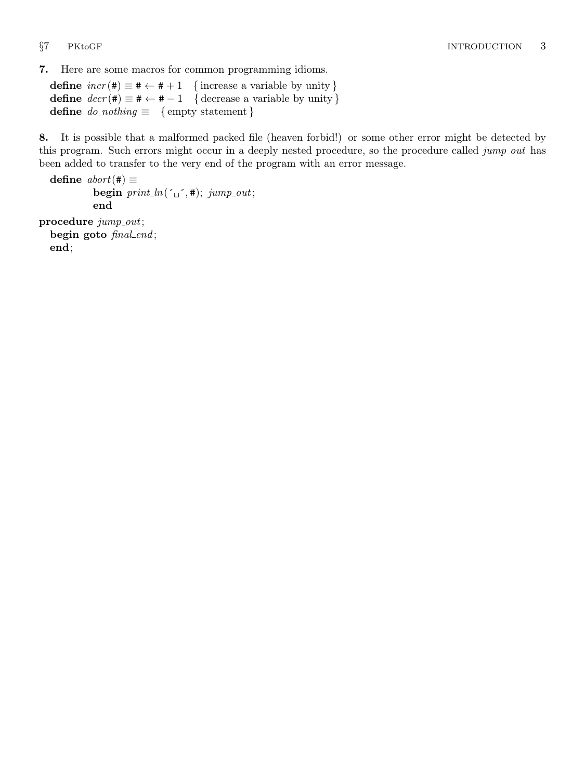<span id="page-2-0"></span>7. Here are some macros for common programming idioms.

```
define \text{incr}(\texttt{\#}) \equiv \texttt{\#} \leftarrow \texttt{\#} + 1 {increase a variable by unity }
define decr(\#) \equiv \# \leftarrow \# - 1 { decrease a variable by unity }
define do\_nothing \equiv \{ empty statement \}
```
8. It is possible that a malformed packed file (heaven forbid!) or some other error might be detected by this program. Such errors might occur in a deeply nested procedure, so the procedure called jump out has been added to transfer to the very end of the program with an error message.

```
define abort(\#) \equivbegin print\_ln(\ulcorner \_ \cdot, \#); jump\_out;end
```
procedure  $jump\_out;$ begin goto final\_end;

end;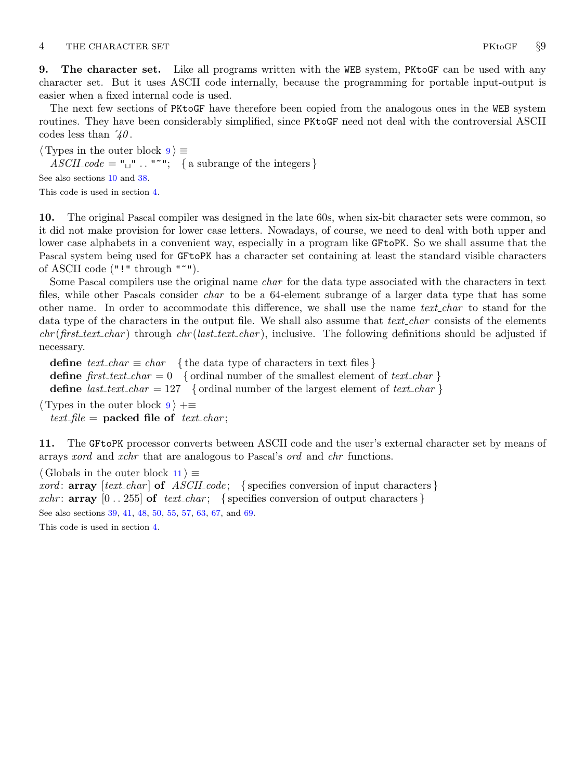<span id="page-3-0"></span>9. The character set. Like all programs written with the WEB system, PKtoGF can be used with any character set. But it uses ASCII code internally, because the programming for portable input-output is easier when a fixed internal code is used.

The next few sections of PKtoGF have therefore been copied from the analogous ones in the WEB system routines. They have been considerably simplified, since PKtoGF need not deal with the controversial ASCII codes less than  $\angle 40$ .

 $\langle$  Types in the outer block  $9 \rangle \equiv$  $ASCII\_code = "u" ... "''';$  { a subrange of the integers } See also sections 10 and [38.](#page-17-0)

This code is used in section [4](#page-1-0).

10. The original Pascal compiler was designed in the late 60s, when six-bit character sets were common, so it did not make provision for lower case letters. Nowadays, of course, we need to deal with both upper and lower case alphabets in a convenient way, especially in a program like GFtoPK. So we shall assume that the Pascal system being used for GFtoPK has a character set containing at least the standard visible characters of ASCII code ("!" through "~").

Some Pascal compilers use the original name *char* for the data type associated with the characters in text files, while other Pascals consider *char* to be a 64-element subrange of a larger data type that has some other name. In order to accommodate this difference, we shall use the name *text\_char* to stand for the data type of the characters in the output file. We shall also assume that *text\_char* consists of the elements  $chr(first.text\_char)$  through  $chr(last.text\_char)$ , inclusive. The following definitions should be adjusted if necessary.

define  $text_{cchar} \equiv char$  {the data type of characters in text files} define first text char  $= 0$  { ordinal number of the smallest element of text char } define *last\_text\_char* = 127 { ordinal number of the largest element of text\_char }

 $\langle$  Types in the outer block  $9 \rangle + \equiv$ text\_file = packed file of text\_char;

11. The GFtoPK processor converts between ASCII code and the user's external character set by means of arrays xord and xchr that are analogous to Pascal's ord and chr functions.

 $\langle$  Globals in the outer block 11  $\rangle \equiv$ 

xord:  $array [text{\thinspace} c]$  fext char  $\sigma$  of ASCII code; { specifies conversion of input characters } xchr: **array**  $[0 \tcdot 255]$  of text-char; { specifies conversion of output characters } See also sections [39](#page-17-0), [41,](#page-17-0) [48](#page-19-0), [50](#page-19-0), [55,](#page-20-0) [57](#page-21-0), [63,](#page-23-0) [67,](#page-25-0) and [69.](#page-26-0)

This code is used in section [4](#page-1-0).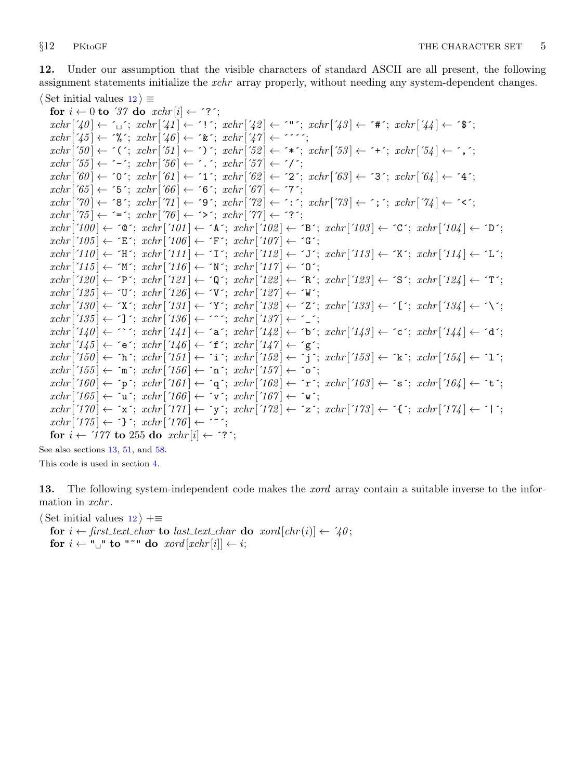<span id="page-4-0"></span>12. Under our assumption that the visible characters of standard ASCII are all present, the following assignment statements initialize the xchr array properly, without needing any system-dependent changes.  $\langle$  Set initial values  $12 \rangle \equiv$ 

for  $i \leftarrow 0$  to '37 do  $xchr[i] \leftarrow$  '?';  $xchr[740] \leftarrow \ulcorner_1$ ;  $xchr[74] \leftarrow \ulcorner!$ ;  $xchr[74] \leftarrow \ulcorner!$ ;  $xchr[74] \leftarrow \ulcorner*$ ;  $xchr[74] \leftarrow \ulcorner*$ ;  $xchr['45] \leftarrow \mathcal{X}$ ;  $xchr['46] \leftarrow \mathcal{X}$ ;  $xchr['47] \leftarrow \mathcal{Y}$ ;  $xchr[50] \leftarrow \checkmark$ ;  $xchr[51] \leftarrow \checkmark$ ;  $xchr[52] \leftarrow \checkmark$ ;  $xchr[53] \leftarrow \checkmark$ ;  $xchr[54] \leftarrow \checkmark$ ;  $xchr['55] \leftarrow -$ ;  $xchr['56] \leftarrow$ .;  $xchr['57] \leftarrow '$  $xchr['60] \leftarrow '0'; xchr['61] \leftarrow '1'; xchr['62] \leftarrow '2'; xchr['63] \leftarrow '3'; xchr['64] \leftarrow '4';$  $xchr['65] \leftarrow 5$ ;  $xchr['66] \leftarrow 6$ ;  $xchr['67] \leftarrow 7$ ;  $xchr[70] \leftarrow$  '8';  $xchr[71] \leftarrow$  '9';  $xchr[72] \leftarrow$  ':';  $xchr[73] \leftarrow$ '; ';  $xchr[74] \leftarrow$  '<';  $xchr['75] \leftarrow \equiv \div; xchr['76] \leftarrow \leftrightarrow \div; xchr['77] \leftarrow \div \div;$  $xchr['100] \leftarrow$   $\circ \mathbb{C}$ ;  $xchr['101] \leftarrow \mathbb{A}$ ;  $xchr['102] \leftarrow \mathbb{B}$ ;  $xchr['103] \leftarrow \mathbb{C}$ ;  $xchr['104] \leftarrow \mathbb{D}$ ;  $xchr['105] \leftarrow \text{'}E'; xchr['106] \leftarrow \text{'}F'; xchr['107] \leftarrow \text{'}G';$  $xchr['110] \leftarrow \text{`H}\text{`; } xchr['111] \leftarrow \text{`I}\text{`; } xchr['112] \leftarrow \text{`J}\text{`; } xchr['113] \leftarrow \text{`K}\text{`; } xchr['114] \leftarrow \text{`L}\text{`;}$  $xchr['115] \leftarrow \gamma' xchr['116] \leftarrow \gamma' xchr['117] \leftarrow \gamma'$ ;  $xchr['120] \leftarrow \text{'}P'; xchr['121] \leftarrow \text{'}Q'; xchr['122] \leftarrow \text{'}R'; xchr['123] \leftarrow \text{'}S'; xchr['124] \leftarrow \text{'}T';$  $xchr['125] \leftarrow \text{`U'}$ ;  $xchr['126] \leftarrow \text{`V'}$ ;  $xchr['127] \leftarrow \text{`W'}$ ;  $xchr['130] \leftarrow \text{'}X'; xchr['131] \leftarrow \text{'}Y'; xchr['132] \leftarrow \text{'}Z'; xchr['133] \leftarrow \text{'}[t'; xchr['134] \leftarrow \text{'}Y'; xchr['134] \leftarrow \text{'}Y'; xchr['135] \leftarrow \text{'}Z'; xchr['136] \leftarrow \text{'}Y'; xchr['136] \leftarrow \text{'}Y'; xchr['137] \leftarrow \text{'}Y'; xchr['138] \leftarrow \text{'}Y'; xchr['138] \leftarrow \text{'}Y'; xchr['138] \leftarrow \text{'}$  $xchr['135] \leftarrow \text{'}$ ;  $xchr['136] \leftarrow \text{'}$ ;  $xchr['137] \leftarrow \text{'}$ ;  $xchr['140] \leftarrow \cdots$ ;  $xchr['141] \leftarrow 'a$ ;  $xchr['142] \leftarrow 'b$ ;  $xchr['143] \leftarrow 'c$ ;  $xchr['144] \leftarrow 'a'$ ;  $xchr['145] \leftarrow \text{`e'}; xchr['146] \leftarrow \text{`f'}; xchr['147] \leftarrow \text{`g'};$  $xchr['150] \leftarrow \text{`h'}; xchr['151] \leftarrow \text{`i'}; xchr['152] \leftarrow \text{`j'}; xchr['153] \leftarrow \text{`k'}; xchr['154] \leftarrow \text{`1'};$  $xchr['155] \leftarrow \text{`m'}; xchr['156] \leftarrow \text{`n'}; xchr['157] \leftarrow \text{`o'};$  $xchr['160] \leftarrow \text{`p`; } xchr['161] \leftarrow \text{`q`; } xchr['162] \leftarrow \text{`r`; } xchr['163] \leftarrow \text{`s`; } xchr['164] \leftarrow \text{`t`;}$  $xchr['165] \leftarrow \text{`u'}; xchr['166] \leftarrow \text{`v'}; xchr['167] \leftarrow \text{`w'};$  $xchr['170] \leftarrow \text{'x'}; xchr['171] \leftarrow \text{'y'}; xchr['172] \leftarrow \text{'z'}; xchr['173] \leftarrow \text{'t'}; xchr['174] \leftarrow \text{'t'};$  $xchr['175] \leftarrow \text{'}$ ;  $xchr['176] \leftarrow \text{'}$ for  $i \leftarrow 777$  to 255 do  $xchr[i] \leftarrow ?$ ;

See also sections 13, [51,](#page-19-0) and [58.](#page-21-0)

This code is used in section [4](#page-1-0).

13. The following system-independent code makes the *xord* array contain a suitable inverse to the information in xchr.

 $\langle$  Set initial values 12  $\rangle$  +≡

for  $i \leftarrow$  first\_text\_char to last\_text\_char do xord  $[chr(i)] \leftarrow '40$ ; for  $i \leftarrow$  " $\sqcup$ " to "<sup>\*</sup>" do xord [xchr[i]  $\leftarrow i$ ;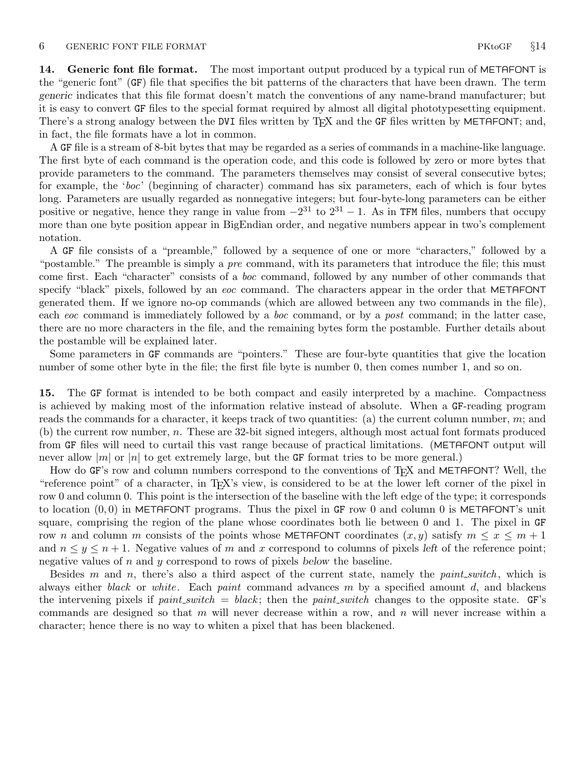<span id="page-5-0"></span>14. Generic font file format. The most important output produced by a typical run of METAFONT is the "generic font" (GF) file that specifies the bit patterns of the characters that have been drawn. The term generic indicates that this file format doesn't match the conventions of any name-brand manufacturer; but it is easy to convert GF files to the special format required by almost all digital phototypesetting equipment. There's a strong analogy between the DVI files written by TEX and the GF files written by METAFONT; and, in fact, the file formats have a lot in common.

A GF file is a stream of 8-bit bytes that may be regarded as a series of commands in a machine-like language. The first byte of each command is the operation code, and this code is followed by zero or more bytes that provide parameters to the command. The parameters themselves may consist of several consecutive bytes; for example, the 'boc' (beginning of character) command has six parameters, each of which is four bytes long. Parameters are usually regarded as nonnegative integers; but four-byte-long parameters can be either positive or negative, hence they range in value from  $-2^{31}$  to  $2^{31} - 1$ . As in TFM files, numbers that occupy more than one byte position appear in BigEndian order, and negative numbers appear in two's complement notation.

A GF file consists of a "preamble," followed by a sequence of one or more "characters," followed by a "postamble." The preamble is simply a *pre* command, with its parameters that introduce the file; this must come first. Each "character" consists of a boc command, followed by any number of other commands that specify "black" pixels, followed by an eoc command. The characters appear in the order that METAFONT generated them. If we ignore no-op commands (which are allowed between any two commands in the file), each eoc command is immediately followed by a boc command, or by a post command; in the latter case, there are no more characters in the file, and the remaining bytes form the postamble. Further details about the postamble will be explained later.

Some parameters in GF commands are "pointers." These are four-byte quantities that give the location number of some other byte in the file; the first file byte is number 0, then comes number 1, and so on.

15. The GF format is intended to be both compact and easily interpreted by a machine. Compactness is achieved by making most of the information relative instead of absolute. When a GF-reading program reads the commands for a character, it keeps track of two quantities: (a) the current column number,  $m$ ; and (b) the current row number, n. These are 32-bit signed integers, although most actual font formats produced from GF files will need to curtail this vast range because of practical limitations. (METAFONT output will never allow  $|m|$  or  $|n|$  to get extremely large, but the GF format tries to be more general.)

How do GF's row and column numbers correspond to the conventions of T<sub>F</sub>X and METAFONT? Well, the "reference point" of a character, in TEX's view, is considered to be at the lower left corner of the pixel in row 0 and column 0. This point is the intersection of the baseline with the left edge of the type; it corresponds to location  $(0, 0)$  in METAFONT programs. Thus the pixel in GF row 0 and column 0 is METAFONT's unit square, comprising the region of the plane whose coordinates both lie between 0 and 1. The pixel in GF row n and column m consists of the points whose METAFONT coordinates  $(x, y)$  satisfy  $m \leq x \leq m + 1$ and  $n \leq y \leq n+1$ . Negative values of m and x correspond to columns of pixels left of the reference point; negative values of  $n$  and  $y$  correspond to rows of pixels below the baseline.

Besides m and n, there's also a third aspect of the current state, namely the *paint-switch*, which is always either *black* or *white*. Each *paint* command advances  $m$  by a specified amount  $d$ , and blackens the intervening pixels if  $paint\_switch = black$ ; then the paint switch changes to the opposite state. GF's commands are designed so that  $m$  will never decrease within a row, and  $n$  will never increase within a character; hence there is no way to whiten a pixel that has been blackened.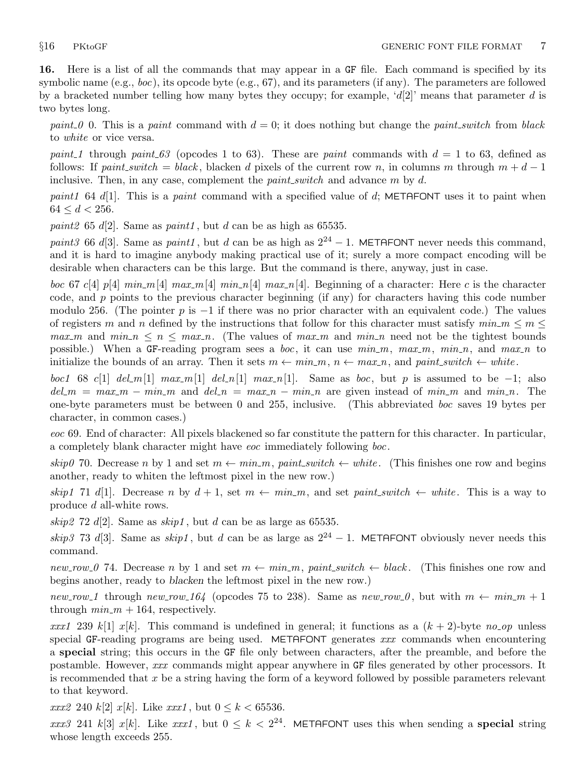<span id="page-6-0"></span>16. Here is a list of all the commands that may appear in a GF file. Each command is specified by its symbolic name  $(e.g., boc)$ , its opcode byte  $(e.g., 67)$ , and its parameters (if any). The parameters are followed by a bracketed number telling how many bytes they occupy; for example, ' $d[2]$ ' means that parameter d is two bytes long.

paint 0 0. This is a paint command with  $d = 0$ ; it does nothing but change the paint switch from black to white or vice versa.

paint 1 through paint 63 (opcodes 1 to 63). These are paint commands with  $d = 1$  to 63, defined as follows: If paint\_switch = black, blacken d pixels of the current row n, in columns m through  $m + d - 1$ inclusive. Then, in any case, complement the *paint switch* and advance  $m$  by  $d$ .

paint1 64 d[1]. This is a paint command with a specified value of d; METAFONT uses it to paint when  $64 \leq d < 256$ .

paint 2 65 d[2]. Same as paint 1, but d can be as high as 65535.

paint3 66 d[3]. Same as paint1, but d can be as high as  $2^{24} - 1$ . METAFONT never needs this command, and it is hard to imagine anybody making practical use of it; surely a more compact encoding will be desirable when characters can be this large. But the command is there, anyway, just in case.

boc 67 c[4]  $p[4]$  min\_m[4] max\_m[4] min\_n[4] max\_n[4]. Beginning of a character: Here c is the character code, and  $p$  points to the previous character beginning (if any) for characters having this code number modulo 256. (The pointer p is  $-1$  if there was no prior character with an equivalent code.) The values of registers m and n defined by the instructions that follow for this character must satisfy  $min_{m \leq m \leq m}$ max m and  $min_n \leq n \leq max_n$ . (The values of max m and  $min_n$  need not be the tightest bounds possible.) When a GF-reading program sees a *boc*, it can use  $min_m$ ,  $max_m$ ,  $min_n$ , and  $max_n$  to initialize the bounds of an array. Then it sets  $m \leftarrow min_{m}$ ,  $n \leftarrow max_{m}$ , and paint switch  $\leftarrow white$ .

boc1 68 c[1] del\_m[1] max\_m[1] del\_n[1] max\_n[1]. Same as boc, but p is assumed to be -1; also  $del_m = max_m - min_m$  and  $del_n = max_n - min_n$  are given instead of min m and min n. one-byte parameters must be between 0 and 255, inclusive. (This abbreviated boc saves 19 bytes per character, in common cases.)

eoc 69. End of character: All pixels blackened so far constitute the pattern for this character. In particular, a completely blank character might have eoc immediately following boc.

skip0 70. Decrease n by 1 and set  $m \leftarrow min_{m}$ , paint switch  $\leftarrow$  white. (This finishes one row and begins another, ready to whiten the leftmost pixel in the new row.)

skip1 71 d[1]. Decrease n by  $d+1$ , set  $m \leftarrow min_{m}$ , and set paint switch  $\leftarrow$  white. This is a way to produce d all-white rows.

skip2 72 d[2]. Same as skip1, but d can be as large as 65535.

skip3 73 d[3]. Same as skip1, but d can be as large as  $2^{24} - 1$ . METAFONT obviously never needs this command.

new row 0 74. Decrease n by 1 and set  $m \leftarrow min_{m}$ , paint switch  $\leftarrow black$ . (This finishes one row and begins another, ready to blacken the leftmost pixel in the new row.)

new row 1 through new row 164 (opcodes 75 to 238). Same as new row 0, but with  $m \leftarrow min_{m} + 1$ through  $min_m + 164$ , respectively.

xxx1 239 k[1] x[k]. This command is undefined in general; it functions as a  $(k + 2)$ -byte no op unless special GF-reading programs are being used. METAFONT generates xxx commands when encountering a special string; this occurs in the GF file only between characters, after the preamble, and before the postamble. However, xxx commands might appear anywhere in GF files generated by other processors. It is recommended that  $x$  be a string having the form of a keyword followed by possible parameters relevant to that keyword.

*xxx2* 240 k[2] *x*[k]. Like *xxx1*, but  $0 \le k < 65536$ .

xxx3 241 k[3] x[k]. Like xxx1, but  $0 \le k < 2^{24}$ . METAFONT uses this when sending a special string whose length exceeds 255.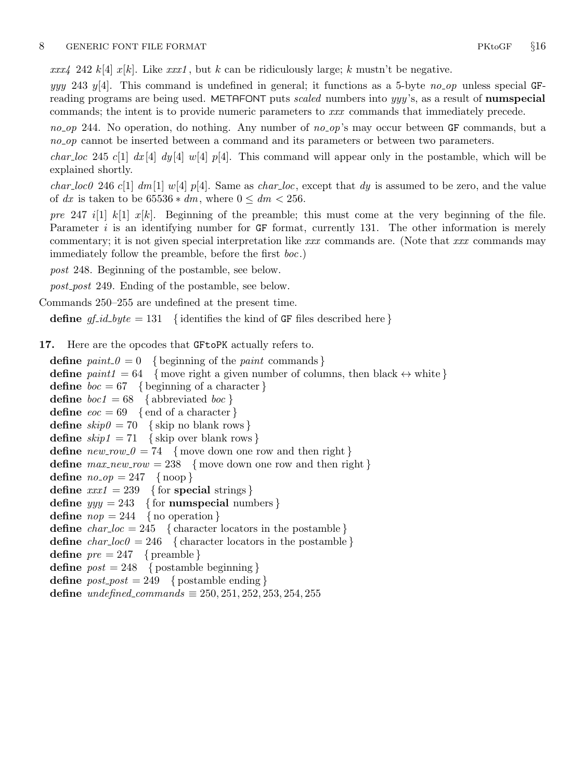<span id="page-7-0"></span> $xxx/4$  242 k[4] x[k]. Like xxx1, but k can be ridiculously large; k mustn't be negative.

yyy 243 y[4]. This command is undefined in general; it functions as a 5-byte no-op unless special GFreading programs are being used. METAFONT puts scaled numbers into yyy's, as a result of **numspecial** commands; the intent is to provide numeric parameters to xxx commands that immediately precede.

no op 244. No operation, do nothing. Any number of no op's may occur between GF commands, but a no op cannot be inserted between a command and its parameters or between two parameters.

*char loc* 245 c[1]  $dx$  [4]  $dy$  [4]  $w$  [4]  $p$  [4]. This command will appear only in the postamble, which will be explained shortly.

*char loc0* 246 c[1]  $dm[1]$  w[4] p[4]. Same as *char-loc*, except that dy is assumed to be zero, and the value of dx is taken to be  $65536 * dm$ , where  $0 \leq dm < 256$ .

pre 247 i[1] k[1]  $x[k]$ . Beginning of the preamble; this must come at the very beginning of the file. Parameter  $i$  is an identifying number for GF format, currently 131. The other information is merely commentary; it is not given special interpretation like xxx commands are. (Note that xxx commands may immediately follow the preamble, before the first boc.)

post 248. Beginning of the postamble, see below.

post post 249. Ending of the postamble, see below.

Commands 250–255 are undefined at the present time.

define  $gf_id\_byte = 131$  { identifies the kind of GF files described here }

17. Here are the opcodes that GFtoPK actually refers to.

define  $paint_0 = 0$  { beginning of the *paint* commands } define  $paint1 = 64$  {move right a given number of columns, then black  $\leftrightarrow$  white } define  $boc = 67$  { beginning of a character } **define**  $boc1 = 68$  { abbreviated  $boc$  } **define**  $eoc = 69$  {end of a character} define  $skip0 = 70$  { skip no blank rows } define  $skip_1 = 71$  { skip over blank rows } define  $new_{1} = 74$  {move down one row and then right} define  $max_new_{row} = 238$  {move down one row and then right} define  $no\_op = 247$  {noop} define  $xxx1 = 239$  { for special strings } define  $yyy = 243$  { for numspecial numbers } define  $nop = 244$  { no operation } define  $char\_loc = 245$  { character locators in the postamble } define  $char\_loc0 = 246$  { character locators in the postamble } define  $pre = 247$  { preamble } define  $post = 248$  { postamble beginning } define  $post\_post = 249$  { postamble ending } define undefined\_commands  $\equiv 250, 251, 252, 253, 254, 255$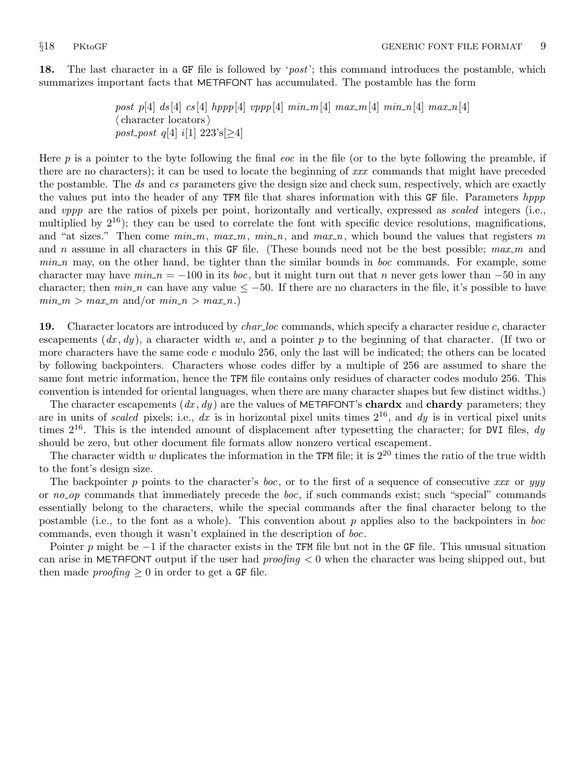<span id="page-8-0"></span>18. The last character in a GF file is followed by '*post*'; this command introduces the postamble, which summarizes important facts that METAFONT has accumulated. The postamble has the form

> post p[4] ds [4] cs [4] hppp [4] vppp [4] min\_m [4] max\_m [4] min\_n [4] max\_n [4]  $\langle$  character locators $\rangle$ post\_post q[4] i[1]  $223$ 's[ $\geq 4$ ]

Here  $p$  is a pointer to the byte following the final *eoc* in the file (or to the byte following the preamble, if there are no characters); it can be used to locate the beginning of xxx commands that might have preceded the postamble. The ds and cs parameters give the design size and check sum, respectively, which are exactly the values put into the header of any TFM file that shares information with this GF file. Parameters hppp and *vppp* are the ratios of pixels per point, horizontally and vertically, expressed as *scaled* integers (i.e., multiplied by  $2^{16}$ ); they can be used to correlate the font with specific device resolutions, magnifications, and "at sizes." Then come  $min_m$ ,  $max_m$ ,  $min_n$ , and  $max_n$ , which bound the values that registers m and n assume in all characters in this GF file. (These bounds need not be the best possible;  $max_m$  and  $min\_n$  may, on the other hand, be tighter than the similar bounds in *boc* commands. For example, some character may have  $min \ n = -100$  in its boc, but it might turn out that n never gets lower than  $-50$  in any character; then  $min_n$  can have any value  $\leq -50$ . If there are no characters in the file, it's possible to have  $min_m > max_m$  and/or  $min_n > max_n$ .

19. Character locators are introduced by *char-loc* commands, which specify a character residue c, character escapements  $(dx, dy)$ , a character width w, and a pointer p to the beginning of that character. (If two or more characters have the same code c modulo 256, only the last will be indicated; the others can be located by following backpointers. Characters whose codes differ by a multiple of 256 are assumed to share the same font metric information, hence the TFM file contains only residues of character codes modulo 256. This convention is intended for oriental languages, when there are many character shapes but few distinct widths.)

The character escapements  $(dx, dy)$  are the values of METAFONT's **chardx** and **chardy** parameters; they are in units of scaled pixels; i.e., dx is in horizontal pixel units times  $2^{16}$ , and dy is in vertical pixel units times  $2^{16}$ . This is the intended amount of displacement after typesetting the character; for DVI files, dy should be zero, but other document file formats allow nonzero vertical escapement.

The character width  $w$  duplicates the information in the TFM file; it is  $2^{20}$  times the ratio of the true width to the font's design size.

The backpointer p points to the character's boc, or to the first of a sequence of consecutive xxx or yyy or no op commands that immediately precede the boc, if such commands exist; such "special" commands essentially belong to the characters, while the special commands after the final character belong to the postamble (i.e., to the font as a whole). This convention about p applies also to the backpointers in boc commands, even though it wasn't explained in the description of boc.

Pointer p might be  $-1$  if the character exists in the TFM file but not in the GF file. This unusual situation can arise in METAFONT output if the user had *proofing*  $\lt 0$  when the character was being shipped out, but then made *proofing*  $\geq 0$  in order to get a GF file.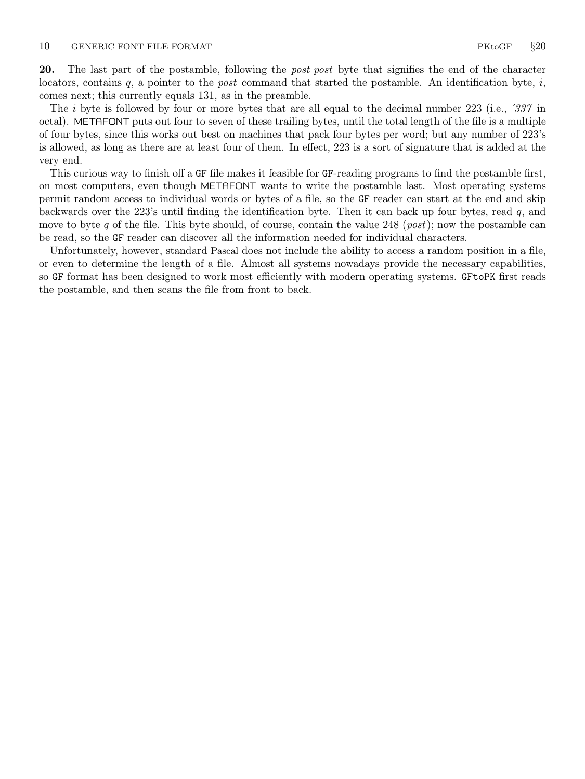<span id="page-9-0"></span>20. The last part of the postamble, following the *post-post* byte that signifies the end of the character locators, contains  $q$ , a pointer to the *post* command that started the postamble. An identification byte,  $i$ , comes next; this currently equals 131, as in the preamble.

The *i* byte is followed by four or more bytes that are all equal to the decimal number 223 (i.e., *337* in octal). METAFONT puts out four to seven of these trailing bytes, until the total length of the file is a multiple of four bytes, since this works out best on machines that pack four bytes per word; but any number of 223's is allowed, as long as there are at least four of them. In effect, 223 is a sort of signature that is added at the very end.

This curious way to finish off a GF file makes it feasible for GF-reading programs to find the postamble first, on most computers, even though METAFONT wants to write the postamble last. Most operating systems permit random access to individual words or bytes of a file, so the GF reader can start at the end and skip backwards over the 223's until finding the identification byte. Then it can back up four bytes, read q, and move to byte q of the file. This byte should, of course, contain the value 248 (*post*); now the postamble can be read, so the GF reader can discover all the information needed for individual characters.

Unfortunately, however, standard Pascal does not include the ability to access a random position in a file, or even to determine the length of a file. Almost all systems nowadays provide the necessary capabilities, so GF format has been designed to work most efficiently with modern operating systems. GFtoPK first reads the postamble, and then scans the file from front to back.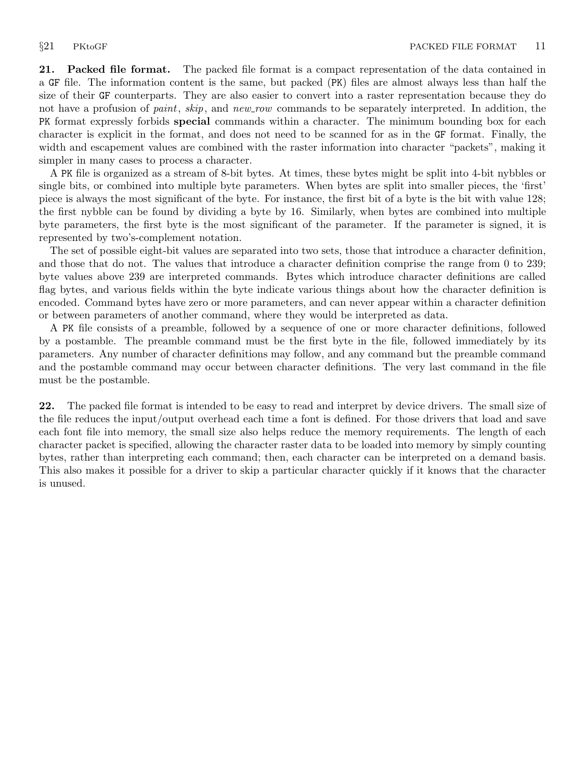<span id="page-10-0"></span>21. Packed file format. The packed file format is a compact representation of the data contained in a GF file. The information content is the same, but packed (PK) files are almost always less than half the size of their GF counterparts. They are also easier to convert into a raster representation because they do not have a profusion of paint, skip, and new row commands to be separately interpreted. In addition, the PK format expressly forbids special commands within a character. The minimum bounding box for each character is explicit in the format, and does not need to be scanned for as in the GF format. Finally, the width and escapement values are combined with the raster information into character "packets", making it simpler in many cases to process a character.

A PK file is organized as a stream of 8-bit bytes. At times, these bytes might be split into 4-bit nybbles or single bits, or combined into multiple byte parameters. When bytes are split into smaller pieces, the 'first' piece is always the most significant of the byte. For instance, the first bit of a byte is the bit with value 128; the first nybble can be found by dividing a byte by 16. Similarly, when bytes are combined into multiple byte parameters, the first byte is the most significant of the parameter. If the parameter is signed, it is represented by two's-complement notation.

The set of possible eight-bit values are separated into two sets, those that introduce a character definition, and those that do not. The values that introduce a character definition comprise the range from 0 to 239; byte values above 239 are interpreted commands. Bytes which introduce character definitions are called flag bytes, and various fields within the byte indicate various things about how the character definition is encoded. Command bytes have zero or more parameters, and can never appear within a character definition or between parameters of another command, where they would be interpreted as data.

A PK file consists of a preamble, followed by a sequence of one or more character definitions, followed by a postamble. The preamble command must be the first byte in the file, followed immediately by its parameters. Any number of character definitions may follow, and any command but the preamble command and the postamble command may occur between character definitions. The very last command in the file must be the postamble.

22. The packed file format is intended to be easy to read and interpret by device drivers. The small size of the file reduces the input/output overhead each time a font is defined. For those drivers that load and save each font file into memory, the small size also helps reduce the memory requirements. The length of each character packet is specified, allowing the character raster data to be loaded into memory by simply counting bytes, rather than interpreting each command; then, each character can be interpreted on a demand basis. This also makes it possible for a driver to skip a particular character quickly if it knows that the character is unused.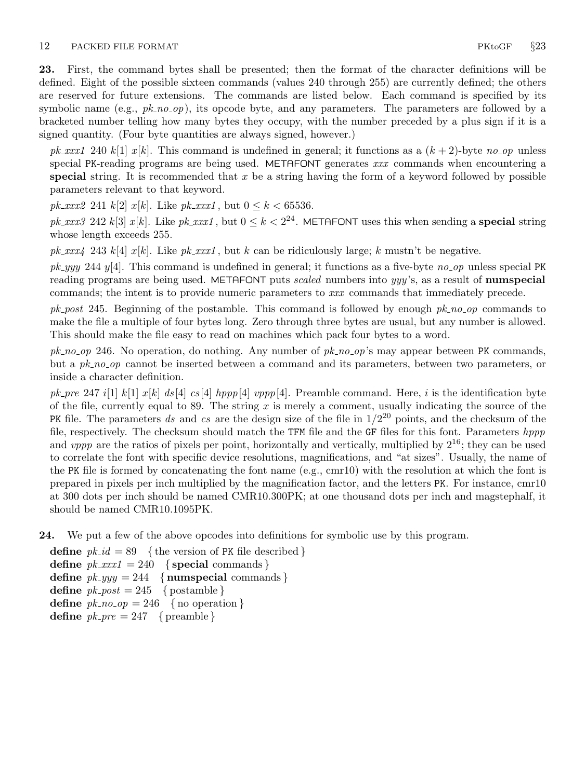<span id="page-11-0"></span>23. First, the command bytes shall be presented; then the format of the character definitions will be defined. Eight of the possible sixteen commands (values 240 through 255) are currently defined; the others are reserved for future extensions. The commands are listed below. Each command is specified by its symbolic name (e.g.,  $pk\_no\_op$ ), its opcode byte, and any parameters. The parameters are followed by a bracketed number telling how many bytes they occupy, with the number preceded by a plus sign if it is a signed quantity. (Four byte quantities are always signed, however.)

pk xxx1 240 k[1] x[k]. This command is undefined in general; it functions as a  $(k+2)$ -byte no op unless special PK-reading programs are being used. METAFONT generates xxx commands when encountering a special string. It is recommended that  $x$  be a string having the form of a keyword followed by possible parameters relevant to that keyword.

*pk\_xxx2* 241 k[2] x[k]. Like  $pk\_xxx1$ , but  $0 \le k < 65536$ .

pk xxx3 242 k[3] x[k]. Like pk xxx1, but  $0 \le k < 2^{24}$ . METAFONT uses this when sending a **special** string whose length exceeds 255.

pk\_xxx4 243 k[4] x[k]. Like pk\_xxx1, but k can be ridiculously large; k mustn't be negative.

 $pk_{\text{y}}$  244 y[4]. This command is undefined in general; it functions as a five-byte no op unless special PK reading programs are being used. METAFONT puts *scaled* numbers into yyy's, as a result of **numspecial** commands; the intent is to provide numeric parameters to xxx commands that immediately precede.

pk post 245. Beginning of the postamble. This command is followed by enough  $pk\_no\_op$  commands to make the file a multiple of four bytes long. Zero through three bytes are usual, but any number is allowed. This should make the file easy to read on machines which pack four bytes to a word.

 $pk_{10}$  246. No operation, do nothing. Any number of  $pk_{10}$  op's may appear between PK commands, but a  $pk\_no\_op$  cannot be inserted between a command and its parameters, between two parameters, or inside a character definition.

pk pre 247 i[1] k[1]  $x[k]$  ds [4] cs [4] hppp[4] vppp[4]. Preamble command. Here, i is the identification byte of the file, currently equal to 89. The string x is merely a comment, usually indicating the source of the PK file. The parameters ds and cs are the design size of the file in  $1/2^{20}$  points, and the checksum of the file, respectively. The checksum should match the TFM file and the GF files for this font. Parameters hppp and *vppp* are the ratios of pixels per point, horizontally and vertically, multiplied by  $2^{16}$ ; they can be used to correlate the font with specific device resolutions, magnifications, and "at sizes". Usually, the name of the PK file is formed by concatenating the font name (e.g., cmr10) with the resolution at which the font is prepared in pixels per inch multiplied by the magnification factor, and the letters PK. For instance, cmr10 at 300 dots per inch should be named CMR10.300PK; at one thousand dots per inch and magstephalf, it should be named CMR10.1095PK.

24. We put a few of the above opcodes into definitions for symbolic use by this program.

define  $pk\_id = 89$  {the version of PK file described } define  $pk\_xxx1 = 240$  {special commands} define  $pk\_yyy = 244$  { numspecial commands } define  $pk\_post = 245$  { postamble } define  $pk\_no\_op = 246$  { no operation } define  $pk\_pre = 247$  { preamble }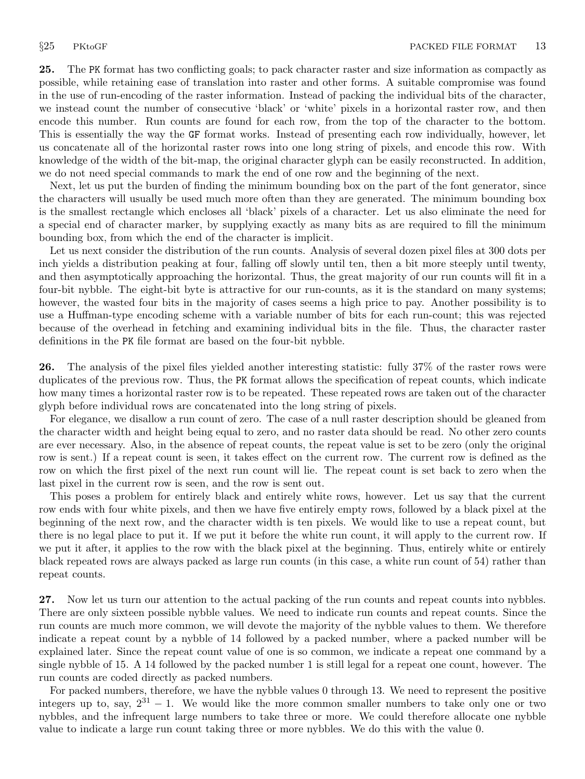25. The PK format has two conflicting goals; to pack character raster and size information as compactly as possible, while retaining ease of translation into raster and other forms. A suitable compromise was found in the use of run-encoding of the raster information. Instead of packing the individual bits of the character, we instead count the number of consecutive 'black' or 'white' pixels in a horizontal raster row, and then encode this number. Run counts are found for each row, from the top of the character to the bottom. This is essentially the way the GF format works. Instead of presenting each row individually, however, let us concatenate all of the horizontal raster rows into one long string of pixels, and encode this row. With knowledge of the width of the bit-map, the original character glyph can be easily reconstructed. In addition, we do not need special commands to mark the end of one row and the beginning of the next.

Next, let us put the burden of finding the minimum bounding box on the part of the font generator, since the characters will usually be used much more often than they are generated. The minimum bounding box is the smallest rectangle which encloses all 'black' pixels of a character. Let us also eliminate the need for a special end of character marker, by supplying exactly as many bits as are required to fill the minimum bounding box, from which the end of the character is implicit.

Let us next consider the distribution of the run counts. Analysis of several dozen pixel files at 300 dots per inch yields a distribution peaking at four, falling off slowly until ten, then a bit more steeply until twenty, and then asymptotically approaching the horizontal. Thus, the great majority of our run counts will fit in a four-bit nybble. The eight-bit byte is attractive for our run-counts, as it is the standard on many systems; however, the wasted four bits in the majority of cases seems a high price to pay. Another possibility is to use a Huffman-type encoding scheme with a variable number of bits for each run-count; this was rejected because of the overhead in fetching and examining individual bits in the file. Thus, the character raster definitions in the PK file format are based on the four-bit nybble.

26. The analysis of the pixel files yielded another interesting statistic: fully 37% of the raster rows were duplicates of the previous row. Thus, the PK format allows the specification of repeat counts, which indicate how many times a horizontal raster row is to be repeated. These repeated rows are taken out of the character glyph before individual rows are concatenated into the long string of pixels.

For elegance, we disallow a run count of zero. The case of a null raster description should be gleaned from the character width and height being equal to zero, and no raster data should be read. No other zero counts are ever necessary. Also, in the absence of repeat counts, the repeat value is set to be zero (only the original row is sent.) If a repeat count is seen, it takes effect on the current row. The current row is defined as the row on which the first pixel of the next run count will lie. The repeat count is set back to zero when the last pixel in the current row is seen, and the row is sent out.

This poses a problem for entirely black and entirely white rows, however. Let us say that the current row ends with four white pixels, and then we have five entirely empty rows, followed by a black pixel at the beginning of the next row, and the character width is ten pixels. We would like to use a repeat count, but there is no legal place to put it. If we put it before the white run count, it will apply to the current row. If we put it after, it applies to the row with the black pixel at the beginning. Thus, entirely white or entirely black repeated rows are always packed as large run counts (in this case, a white run count of 54) rather than repeat counts.

27. Now let us turn our attention to the actual packing of the run counts and repeat counts into nybbles. There are only sixteen possible nybble values. We need to indicate run counts and repeat counts. Since the run counts are much more common, we will devote the majority of the nybble values to them. We therefore indicate a repeat count by a nybble of 14 followed by a packed number, where a packed number will be explained later. Since the repeat count value of one is so common, we indicate a repeat one command by a single nybble of 15. A 14 followed by the packed number 1 is still legal for a repeat one count, however. The run counts are coded directly as packed numbers.

For packed numbers, therefore, we have the nybble values 0 through 13. We need to represent the positive integers up to, say,  $2^{31} - 1$ . We would like the more common smaller numbers to take only one or two nybbles, and the infrequent large numbers to take three or more. We could therefore allocate one nybble value to indicate a large run count taking three or more nybbles. We do this with the value 0.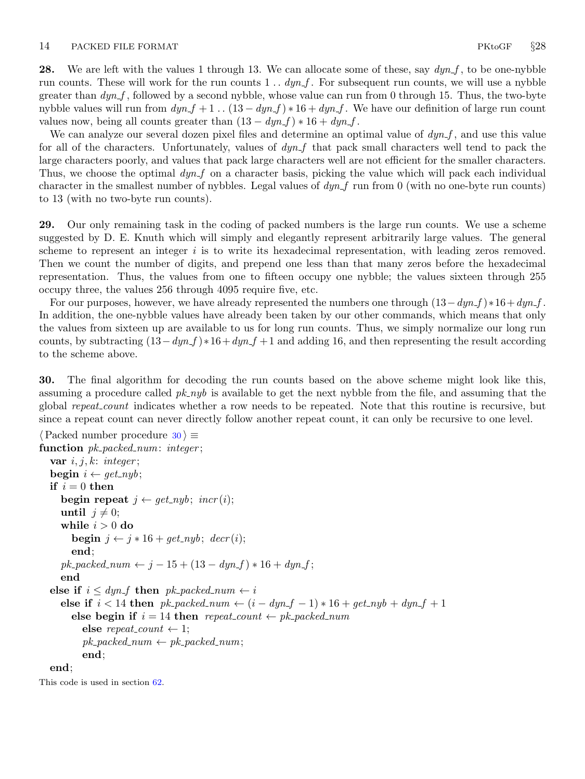<span id="page-13-0"></span>**28.** We are left with the values 1 through 13. We can allocate some of these, say  $dyn_f$ , to be one-nybble run counts. These will work for the run counts  $1 \dots dyn.f$ . For subsequent run counts, we will use a nybble greater than  $dyn.f$ , followed by a second nybble, whose value can run from 0 through 15. Thus, the two-byte nybble values will run from  $dyn_f + 1$ .  $(13 - dyn_f) * 16 + dyn_f$ . We have our definition of large run count values now, being all counts greater than  $(13 - dyn_f) * 16 + dyn_f$ .

We can analyze our several dozen pixel files and determine an optimal value of  $dyn_f$ , and use this value for all of the characters. Unfortunately, values of  $dyn_{-}f$  that pack small characters well tend to pack the large characters poorly, and values that pack large characters well are not efficient for the smaller characters. Thus, we choose the optimal  $dyn_f$  on a character basis, picking the value which will pack each individual character in the smallest number of nybbles. Legal values of  $dyn_f$  run from 0 (with no one-byte run counts) to 13 (with no two-byte run counts).

29. Our only remaining task in the coding of packed numbers is the large run counts. We use a scheme suggested by D. E. Knuth which will simply and elegantly represent arbitrarily large values. The general scheme to represent an integer i is to write its hexadecimal representation, with leading zeros removed. Then we count the number of digits, and prepend one less than that many zeros before the hexadecimal representation. Thus, the values from one to fifteen occupy one nybble; the values sixteen through 255 occupy three, the values 256 through 4095 require five, etc.

For our purposes, however, we have already represented the numbers one through  $(13-dyn_f) *16+dyn_f$ . In addition, the one-nybble values have already been taken by our other commands, which means that only the values from sixteen up are available to us for long run counts. Thus, we simply normalize our long run counts, by subtracting  $(13-dyn f) * 16+dyn-f+1$  and adding 16, and then representing the result according to the scheme above.

30. The final algorithm for decoding the run counts based on the above scheme might look like this, assuming a procedure called  $pk_npyb$  is available to get the next nybble from the file, and assuming that the global repeat count indicates whether a row needs to be repeated. Note that this routine is recursive, but since a repeat count can never directly follow another repeat count, it can only be recursive to one level.

```
\langle Packed number procedure 30 \rangle \equivfunction pk-packed_num: integer;
  var i, j, k: integer;
  begin i \leftarrow get\_nyb;
  if i = 0 then
     begin repeat j \leftarrow get\_nyb; incr(i);
     until j \neq 0;while i > 0 do
       begin j \leftarrow j * 16 + get_n y b; decr(i);
       end;
     pk-packed_num \leftarrow j - 15 + (13 - dyn_f) * 16 + dyn_f;end
  else if i \leq dyn_f then pk_packed_num \leftarrow ielse if i < 14 then pk_packed_num \leftarrow (i - dyn_f - 1) * 16 + get_n y b + dyn_f + 1else begin if i = 14 then repeat count \leftarrow pk-packed num
          else repeat_count \leftarrow 1;
          pk\_ packed\_num \leftarrow pk\_ packed\_num;end;
  end;
```
This code is used in section [62](#page-22-0).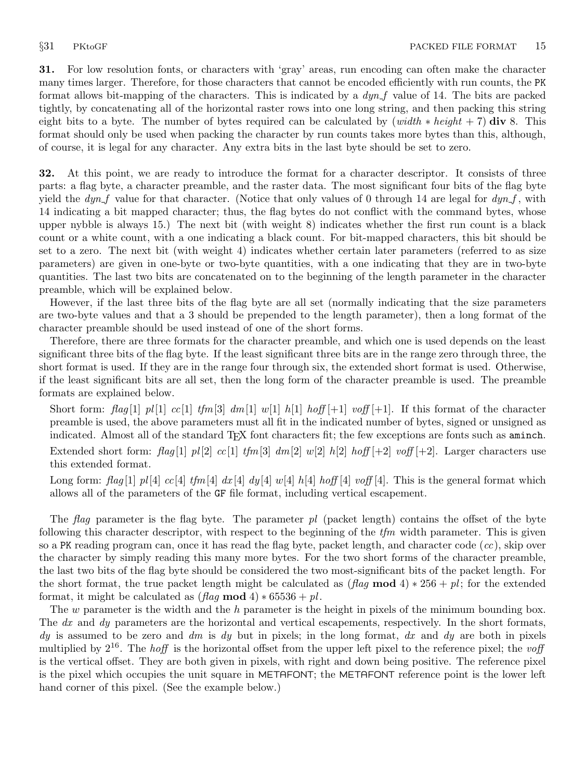<span id="page-14-0"></span>31. For low resolution fonts, or characters with 'gray' areas, run encoding can often make the character many times larger. Therefore, for those characters that cannot be encoded efficiently with run counts, the PK format allows bit-mapping of the characters. This is indicated by a  $dyn<sub>-</sub>f$  value of 14. The bits are packed tightly, by concatenating all of the horizontal raster rows into one long string, and then packing this string eight bits to a byte. The number of bytes required can be calculated by (width  $\ast$  height + 7) div 8. This format should only be used when packing the character by run counts takes more bytes than this, although, of course, it is legal for any character. Any extra bits in the last byte should be set to zero.

32. At this point, we are ready to introduce the format for a character descriptor. It consists of three parts: a flag byte, a character preamble, and the raster data. The most significant four bits of the flag byte yield the  $dyn_f$  value for that character. (Notice that only values of 0 through 14 are legal for  $dyn_f$ , with 14 indicating a bit mapped character; thus, the flag bytes do not conflict with the command bytes, whose upper nybble is always 15.) The next bit (with weight 8) indicates whether the first run count is a black count or a white count, with a one indicating a black count. For bit-mapped characters, this bit should be set to a zero. The next bit (with weight 4) indicates whether certain later parameters (referred to as size parameters) are given in one-byte or two-byte quantities, with a one indicating that they are in two-byte quantities. The last two bits are concatenated on to the beginning of the length parameter in the character preamble, which will be explained below.

However, if the last three bits of the flag byte are all set (normally indicating that the size parameters are two-byte values and that a 3 should be prepended to the length parameter), then a long format of the character preamble should be used instead of one of the short forms.

Therefore, there are three formats for the character preamble, and which one is used depends on the least significant three bits of the flag byte. If the least significant three bits are in the range zero through three, the short format is used. If they are in the range four through six, the extended short format is used. Otherwise, if the least significant bits are all set, then the long form of the character preamble is used. The preamble formats are explained below.

Short form: flag [1]  $p l$ [1]  $c c$ [1]  $t f m$ [3]  $dm$ [1]  $w$ [1]  $h$ [1]  $h$ off [+1]  $v$ off [+1]. If this format of the character preamble is used, the above parameters must all fit in the indicated number of bytes, signed or unsigned as indicated. Almost all of the standard T<sub>E</sub>X font characters fit; the few exceptions are fonts such as aminch. Extended short form: flag [1]  $pl[2]$  cc[1]  $tm[3]$  dm[2] w[2] h[2] hoff [+2] voff [+2]. Larger characters use this extended format.

Long form: flag [1]  $pl[4]$  cc[4] tfm[4] dx[4] dy[4] w[4] h[4] hoff [4] voff [4]. This is the general format which allows all of the parameters of the GF file format, including vertical escapement.

The flag parameter is the flag byte. The parameter  $pl$  (packet length) contains the offset of the byte following this character descriptor, with respect to the beginning of the  $t/m$  width parameter. This is given so a PK reading program can, once it has read the flag byte, packet length, and character code  $(cc)$ , skip over the character by simply reading this many more bytes. For the two short forms of the character preamble, the last two bits of the flag byte should be considered the two most-significant bits of the packet length. For the short format, the true packet length might be calculated as  $(\text{flag mod } 4) * 256 + \text{pl}$ ; for the extended format, it might be calculated as  $(\text{flag mod } 4) * 65536 + \text{pl}$ .

The w parameter is the width and the h parameter is the height in pixels of the minimum bounding box. The dx and dy parameters are the horizontal and vertical escapements, respectively. In the short formats, dy is assumed to be zero and dm is dy but in pixels; in the long format, dx and dy are both in pixels multiplied by  $2^{16}$ . The *hoff* is the horizontal offset from the upper left pixel to the reference pixel; the voff is the vertical offset. They are both given in pixels, with right and down being positive. The reference pixel is the pixel which occupies the unit square in METAFONT; the METAFONT reference point is the lower left hand corner of this pixel. (See the example below.)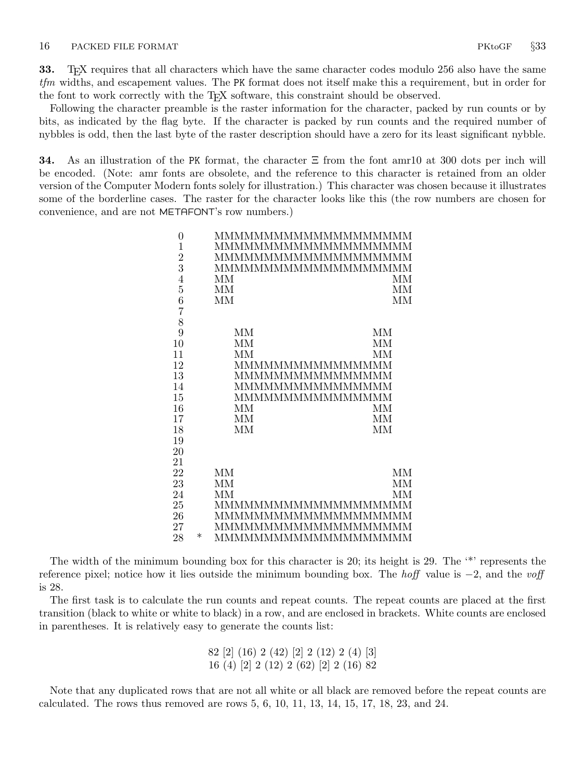<span id="page-15-0"></span>33. TEX requires that all characters which have the same character codes modulo 256 also have the same tfm widths, and escapement values. The PK format does not itself make this a requirement, but in order for the font to work correctly with the T<sub>E</sub>X software, this constraint should be observed.

Following the character preamble is the raster information for the character, packed by run counts or by bits, as indicated by the flag byte. If the character is packed by run counts and the required number of nybbles is odd, then the last byte of the raster description should have a zero for its least significant nybble.

**34.** As an illustration of the PK format, the character  $\Xi$  from the font amr10 at 300 dots per inch will be encoded. (Note: amr fonts are obsolete, and the reference to this character is retained from an older version of the Computer Modern fonts solely for illustration.) This character was chosen because it illustrates some of the borderline cases. The raster for the character looks like this (the row numbers are chosen for convenience, and are not METAFONT's row numbers.)

| 0              |         | MMMMMMMMMMMMMMMMMM  |    |
|----------------|---------|---------------------|----|
| 1              |         | MMMMMMMMMMMMMMMMMMM |    |
| $\overline{2}$ |         | MMMMMMMMMMMMMMMMMM  |    |
| 3              |         | MMMMMMMMMMMMMMMMMM  |    |
| 4              |         | MМ                  | MМ |
| 5              |         | MМ                  | ΜМ |
| 6              |         | MМ                  | MМ |
| 7              |         |                     |    |
| 8              |         |                     |    |
| 9              |         | MМ                  | MМ |
| 10             |         | MM                  | MМ |
| 11             |         | MМ                  | MМ |
| 12             |         | MMMMMMMMMMMMMMM     |    |
| 13             |         | MMMMMMMMMMMMMMM     |    |
| 14             |         | MMMMMMMMMMMMMMM     |    |
| 15             |         | MMMMMMMMMMMMMMM     |    |
| 16             |         | MМ                  | MМ |
| 17             |         | MМ                  | MМ |
| 18             |         | MМ                  | MМ |
| 19             |         |                     |    |
| 20             |         |                     |    |
| 21             |         |                     |    |
| 22             |         | MМ                  | ΜМ |
| 23             |         | MМ                  | MМ |
| 24             |         | MМ                  | MМ |
| 25             |         | MMMMMMMMMMMMMMMMMMM |    |
| 26             |         | MMMMMMMMMMMMMMMMMMM |    |
| 27             |         | MMMMMMMMMMMMMMMMMM  |    |
| 28             | $^\ast$ | MMMMMMMMMMMMMMMMMM  |    |

The width of the minimum bounding box for this character is 20; its height is 29. The '\*' represents the reference pixel; notice how it lies outside the minimum bounding box. The hoff value is  $-2$ , and the voff is 28.

The first task is to calculate the run counts and repeat counts. The repeat counts are placed at the first transition (black to white or white to black) in a row, and are enclosed in brackets. White counts are enclosed in parentheses. It is relatively easy to generate the counts list:

> 82 [2] (16) 2 (42) [2] 2 (12) 2 (4) [3] 16 (4) [2] 2 (12) 2 (62) [2] 2 (16) 82

Note that any duplicated rows that are not all white or all black are removed before the repeat counts are calculated. The rows thus removed are rows 5, 6, 10, 11, 13, 14, 15, 17, 18, 23, and 24.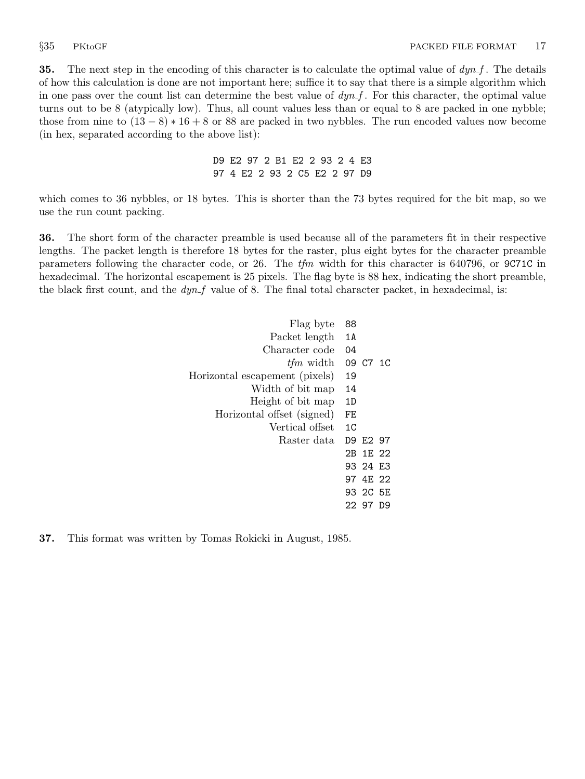<span id="page-16-0"></span>**35.** The next step in the encoding of this character is to calculate the optimal value of  $dyn_f$ . The details of how this calculation is done are not important here; suffice it to say that there is a simple algorithm which in one pass over the count list can determine the best value of  $dyn<sub>-</sub>f$ . For this character, the optimal value turns out to be 8 (atypically low). Thus, all count values less than or equal to 8 are packed in one nybble; those from nine to  $(13 - 8) * 16 + 8$  or 88 are packed in two nybbles. The run encoded values now become (in hex, separated according to the above list):

> D9 E2 97 2 B1 E2 2 93 2 4 E3 97 4 E2 2 93 2 C5 E2 2 97 D9

which comes to 36 nybbles, or 18 bytes. This is shorter than the 73 bytes required for the bit map, so we use the run count packing.

36. The short form of the character preamble is used because all of the parameters fit in their respective lengths. The packet length is therefore 18 bytes for the raster, plus eight bytes for the character preamble parameters following the character code, or 26. The  $t/m$  width for this character is 640796, or 9C71C in hexadecimal. The horizontal escapement is 25 pixels. The flag byte is 88 hex, indicating the short preamble, the black first count, and the  $dyn$ -f value of 8. The final total character packet, in hexadecimal, is:

| Flag byte                      | 88             |           |  |
|--------------------------------|----------------|-----------|--|
| Packet length                  | 1 A            |           |  |
| Character code                 | 04             |           |  |
| <i>tfm</i> width               |                | 09 C7 1C  |  |
| Horizontal escapement (pixels) | 19             |           |  |
| Width of bit map               | 14             |           |  |
| Height of bit map              | 1D             |           |  |
| Horizontal offset (signed)     | FE             |           |  |
| Vertical offset                | 1 <sub>C</sub> |           |  |
| Raster data                    |                | D9 E2 97  |  |
|                                |                | 2B 1E 22  |  |
|                                |                | 93 24 F.3 |  |
|                                |                | 97 4E 22  |  |
|                                |                | 93 2C 5E  |  |
|                                |                | 22 97 D.9 |  |

37. This format was written by Tomas Rokicki in August, 1985.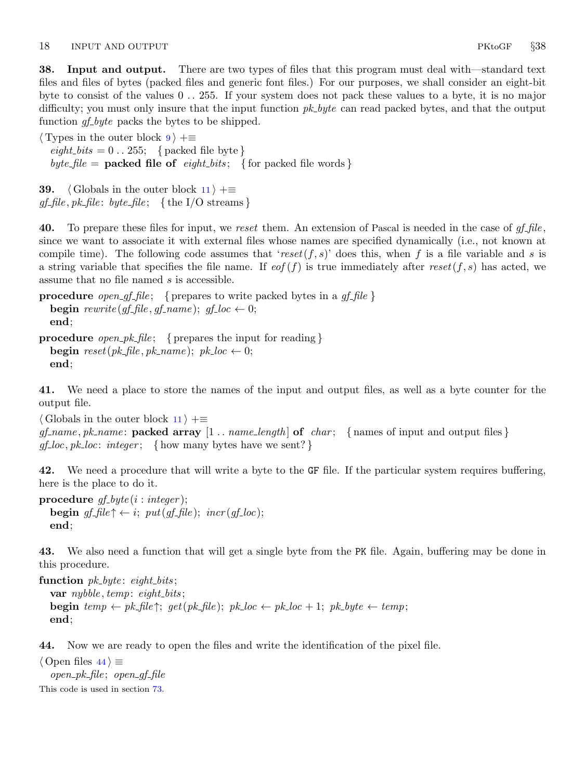<span id="page-17-0"></span>38. Input and output. There are two types of files that this program must deal with—standard text files and files of bytes (packed files and generic font files.) For our purposes, we shall consider an eight-bit byte to consist of the values 0 . . 255. If your system does not pack these values to a byte, it is no major difficulty; you must only insure that the input function *pk*-byte can read packed bytes, and that the output function *gf-byte* packs the bytes to be shipped.

 $\langle$  Types in the outer block [9](#page-3-0)  $\rangle$  +≡  $\text{eight\_bits} = 0 \dots 255; \text{ { packed file byte }}$ byte\_file = **packed file of** eight\_bits; { for packed file words }

**39.**  $\langle$  Globals in the outer block [11](#page-3-0)  $\rangle$  +≡ gf-file, pk-file: byte-file; {the I/O streams}

40. To prepare these files for input, we reset them. An extension of Pascal is needed in the case of  $q_f$ -file, since we want to associate it with external files whose names are specified dynamically (i.e., not known at compile time). The following code assumes that 'reset(f, s)' does this, when f is a file variable and s is a string variable that specifies the file name. If  $\epsilon$  (f) is true immediately after reset(f, s) has acted, we assume that no file named s is accessible.

```
procedure open gf-file; { prepares to write packed bytes in a gf-file }
  begin rewrite (gf_file, gf_name); gf_loc \leftarrow 0;
  end;
```

```
procedure open_pk_file; { prepares the input for reading }
  begin reset(pk-file, pk_name); pk\_loc \leftarrow 0;
  end;
```
41. We need a place to store the names of the input and output files, as well as a byte counter for the output file.

 $\langle$  Globals in the outer block [11](#page-3-0)  $\rangle$  + $\equiv$ 

```
gf_name, pk_name: packed array [1.. name_length of char; { names of input and output files }
gf\_loc, pk\_loc: integer; \{how many bytes have we sent? \}
```
42. We need a procedure that will write a byte to the GF file. If the particular system requires buffering, here is the place to do it.

procedure  $qf\_byte(i : integer);$ **begin**  $gf$ -file  $\uparrow \leftarrow i$ ;  $put(gf$ -file);  $incr(gf$ -loc); end;

43. We also need a function that will get a single byte from the PK file. Again, buffering may be done in this procedure.

function  $pk\_byte$ : eight\_bits; var  $nybble, temp: eight\_bits;$ **begin**  $temp \leftarrow pk\text{-}file\text{-}; get(pk\text{-}file); pk\text{-}loc \leftarrow pk\text{-}loc + 1; pk\text{-}byte \leftarrow temp;$ end;

44. Now we are ready to open the files and write the identification of the pixel file.

 $\langle$  Open files 44  $\rangle \equiv$  $open\_pk\_file$ ;  $open\_af\_file$ This code is used in section [73](#page-28-0).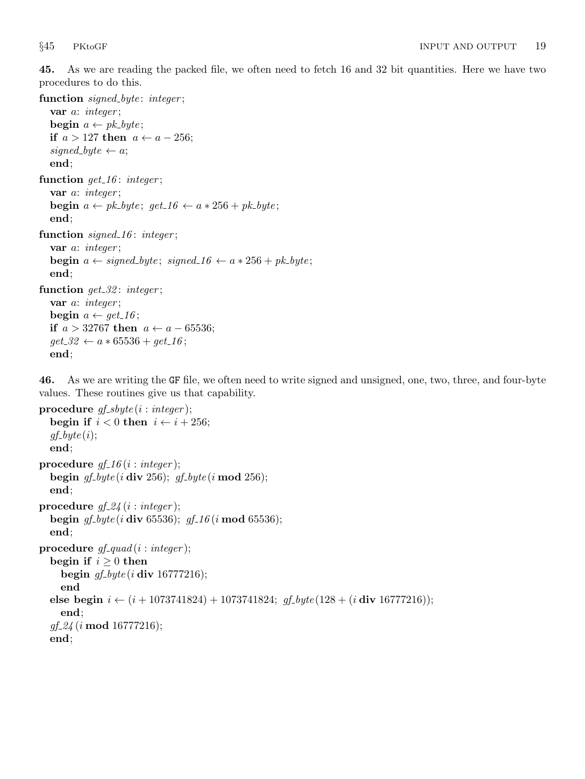<span id="page-18-0"></span>45. As we are reading the packed file, we often need to fetch 16 and 32 bit quantities. Here we have two procedures to do this.

```
function signed byte: integer;
  var a: integer;
  begin a \leftarrow pk\_byte;if a > 127 then a \leftarrow a - 256;
  signed_byte \leftarrow a;
  end;
function get_116: integer;
  var a: integer;
  begin a \leftarrow pk\_byte; get\_16 \leftarrow a * 256 + pk\_byte;
  end;
function signed_16: integer;
  var a: integer;
  begin a \leftarrow signed\_byte; signed 16 \leftarrow a * 256 + pk\_byte;
  end;
function get_32: integer;
  var a: integer;
  begin a \leftarrow get\_16;
  if a > 32767 then a ← a − 65536;
  get\_32 \leftarrow a * 65536 + get\_16;
  end;
```
46. As we are writing the GF file, we often need to write signed and unsigned, one, two, three, and four-byte values. These routines give us that capability.

```
procedure gf\_sbyte(i : integer);begin if i < 0 then i \leftarrow i + 256;
  qf\_byte(i);end;
procedure qf_1f_0(i): integer);
  begin gf_b yte (i \text{ div } 256); gf_b yte (i \text{ mod } 256);end;
procedure gf_224 (i : integer);
  begin gf_b yte (i \text{ div } 65536); gf_1 16 (i \text{ mod } 65536);end;
procedure gf_{\text{-}quad}(i : \text{integer});begin if i \geq 0 then
     begin gf\_byte(i \text{ div } 16777216);end
  else begin i \leftarrow (i + 1073741824) + 1073741824; gf_byte (128 + (i div 16777216));
     end;
  gf_224 (i mod 16777216);
  end;
```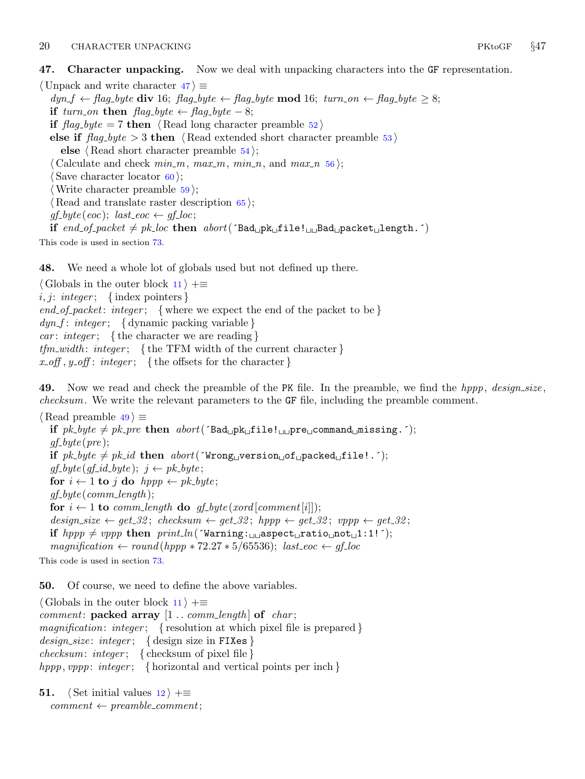#### <span id="page-19-0"></span>47. Character unpacking. Now we deal with unpacking characters into the GF representation.

 $\langle$  Unpack and write character  $47 \rangle \equiv$  $dyn_f \leftarrow flag_byte$  div 16; flag byte  $\leftarrow flag_byte$  mod 16; turn on  $\leftarrow flag_byte \geq 8$ ; if turn\_on then  $flag\_byte \leftarrow flag\_byte - 8;$ if  $flag\_byte = 7$  then  $\langle Read long character \text{ }preamble \text{ } 52 \rangle$  $\langle Read long character \text{ }preamble \text{ } 52 \rangle$  $\langle Read long character \text{ }preamble \text{ } 52 \rangle$ else if  $flag_byte > 3$  then  $\langle Read\>extended\>short\>character\>preamble\>53$  $\langle Read\>extended\>short\>character\>preamble\>53$ else  $\langle$  Read short character preamble [54](#page-20-0) $\rangle$ ;  $\langle$  Calculate and check min m, max m, min n, and max n [56](#page-21-0) $\rangle$ ;  $\langle$  Save character locator [60](#page-22-0) $\rangle$ ;  $\langle$  Write character preamble [59](#page-21-0) $\rangle$ ;  $\langle$  Read and translate raster description [65](#page-24-0) $\rangle$ ;  $gf\_byte(eoc); last\_eoc \leftarrow gf\_loc;$ if end of packet  $\neq$  pk loc then abort ( $\text{Bad}_p$ k<sub>u</sub>file!  $\text{End}_p$ Bad packet length.  $\text{Mod}_p$ This code is used in section [73](#page-28-0).

48. We need a whole lot of globals used but not defined up there.

 $\langle$  Globals in the outer block [11](#page-3-0)  $\rangle$  +≡ i, j: integer; {index pointers}  $end_of packet: integer; \{ where we expect the end of the packet to be \}$  $dyn_f$ : integer; { dynamic packing variable } *car: integer*; {the character we are reading}  $tfm_width: integer; \{ the TFM width of the current character \}$  $x_{\text{off}}$ ,  $y_{\text{off}}$ : integer; {the offsets for the character}

49. Now we read and check the preamble of the PK file. In the preamble, we find the hppp, design\_size, checksum. We write the relevant parameters to the GF file, including the preamble comment.

 $\langle$  Read preamble 49 $\rangle \equiv$ if  $pk\_byte \neq pk\_pre$  then  $abort('Bad_{\sqcup}file!_{\sqcup\sqcup}pre_{\sqcup}command_{\sqcup}missing.^{\wedge})$ ;  $gf\_byte$  (pre); if  $pk\_byte \neq pk\_id$  then  $abort('Wrong \cup version \cup of \cup packet \cup file!'.$ );  $gf\_byte(gf\_id\_byte); j \leftarrow pk\_byte;$ for  $i \leftarrow 1$  to j do  $hppp \leftarrow pk\_byte;$  $gf\_byte$  (comm\_length); for  $i \leftarrow 1$  to comm\_length do gf\_byte(xord [comment[i]]); design\_size  $\leftarrow$  get\_32; checksum  $\leftarrow$  get\_32; hppp  $\leftarrow$  get\_32; vppp  $\leftarrow$  get\_32; if  $hppp \neq vppp$  then  $print\_ln($  'Warning:  $_{\text{un}a}$ spect $_{\text{un}a}$ ratio  $_{\text{un}a}$ not  $_{\text{un}1}:1$ ! ´);  $magnification \leftarrow round(hppp * 72.27 * 5/65536); last\_eoc \leftarrow gf\_loc$ This code is used in section [73](#page-28-0).

50. Of course, we need to define the above variables.

 $\langle$  Globals in the outer block [11](#page-3-0)  $\rangle$  +≡ *comment:* packed array  $[1 \tots \t{comm\_length}]$  of *char*; magnification: integer; { resolution at which pixel file is prepared }  $design\_size: integer; \{design\_size\}$  $checksum: integer; \{ checksum of pixel file\}$ hppp, vppp: integer; { horizontal and vertical points per inch}

**51.**  $\langle$  Set initial values  $12 \rangle + \equiv$  $12 \rangle + \equiv$  $comment \leftarrow \textit{preample\_comment};$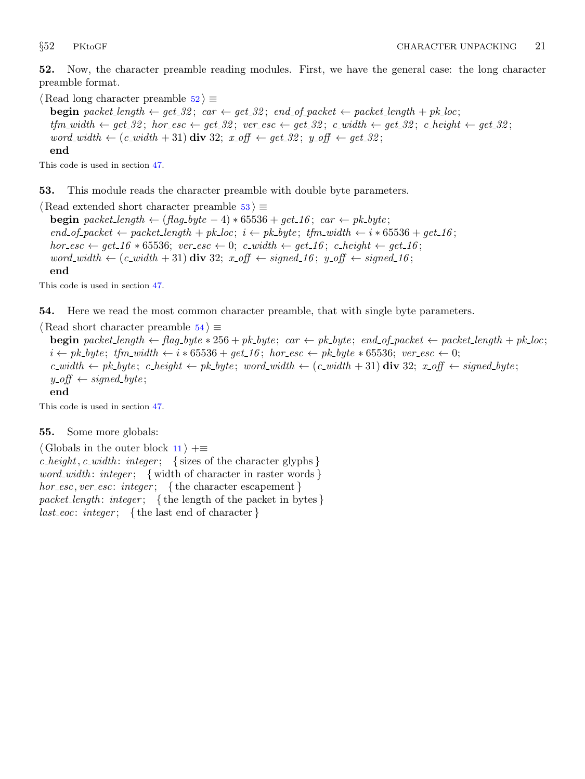<span id="page-20-0"></span>52. Now, the character preamble reading modules. First, we have the general case: the long character preamble format.

 $\langle$  Read long character preamble 52 $\rangle \equiv$ 

**begin** packet length  $\leftarrow$  get 32; car  $\leftarrow$  get 32; end of packet  $\leftarrow$  packet length + pk loc;  $tfm\_width \leftarrow get\_32$ ; hor\_esc  $\leftarrow get\_32$ ; ver\_esc  $\leftarrow get\_32$ ; c\_width  $\leftarrow get\_32$ ; c\_height  $\leftarrow get\_32$ ; word\_width  $\leftarrow$  (c\_width + 31) div 32; x\_off  $\leftarrow$  get\_32; y\_off  $\leftarrow$  get\_32; end

This code is used in section [47](#page-19-0).

53. This module reads the character preamble with double byte parameters.

 $\langle$  Read extended short character preamble  $53 \rangle \equiv$ **begin** packet\_length  $\leftarrow$  (flag\_byte - 4)  $*$  65536 + get\_16; car  $\leftarrow$  pk\_byte; end\_of\_packet  $\leftarrow$  packet\_length + pk\_loc;  $i \leftarrow$  pk\_byte; tfm\_width  $\leftarrow$  i \* 65536 + get\_16; hor esc  $\leftarrow$  get 16  $*$  65536; ver esc  $\leftarrow$  0; c width  $\leftarrow$  get 16; c height  $\leftarrow$  get 16; word\_width  $\leftarrow$  (c\_width + 31) div 32; x\_off  $\leftarrow$  signed\_16; y\_off  $\leftarrow$  signed\_16; end

This code is used in section [47](#page-19-0).

54. Here we read the most common character preamble, that with single byte parameters.

 $\langle$  Read short character preamble 54 $\rangle \equiv$ 

**begin** packet length ← flag byte \* 256 + pk byte; car ← pk byte; end of packet ← packet length + pk loc;  $i \leftarrow pk\_byte$ ; tfm\_width  $\leftarrow i * 65536 + get\_16$ ; hor\_esc  $\leftarrow pk\_byte * 65536$ ; ver\_esc  $\leftarrow 0$ ; c width  $\leftarrow$  pk byte; c height  $\leftarrow$  pk byte; word width  $\leftarrow$  (c width + 31) div 32; x off  $\leftarrow$  signed byte;  $y \text{-} \text{off} \leftarrow signed\_byte;$ end

This code is used in section [47](#page-19-0).

#### 55. Some more globals:

 $\langle$  Globals in the outer block [11](#page-3-0)  $\rangle$  + $\equiv$  $c \text{-} height, c \text{-} width: integer; \{ sizes of the character glyphs } \}$  $word\_width: integer; \{ width of character in raster words \}$ hor\_esc, ver\_esc: integer; { the character escapement } packet\_length: integer; { the length of the packet in bytes }  $last\_eoc: integer; \{ the last end of character \}$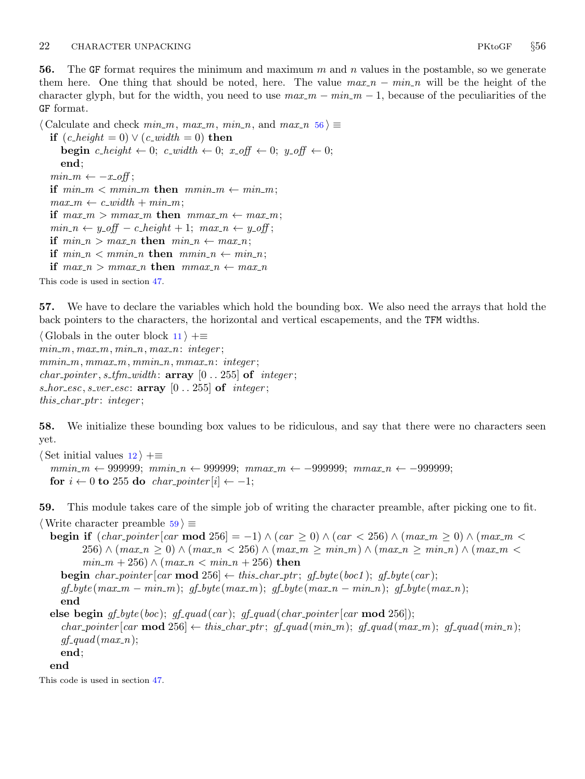<span id="page-21-0"></span>**56.** The GF format requires the minimum and maximum m and n values in the postamble, so we generate them here. One thing that should be noted, here. The value  $max_n - min_n$  will be the height of the character glyph, but for the width, you need to use  $max_{m} - min_{m} - 1$ , because of the peculiarities of the GF format.

 $\langle$  Calculate and check min m, max m, min n, and max n 56 $\rangle \equiv$ if  $(c \text{-} height = 0) \vee (c \text{-} width = 0)$  then **begin** c\_height  $\leftarrow 0$ ; c\_width  $\leftarrow 0$ ; x\_off  $\leftarrow 0$ ; y\_off  $\leftarrow 0$ ; end;  $min_m \leftarrow -x_{\text{-}} \text{off};$ if  $min_m < min_m$  then  $min_m \leftarrow min_m$ ;  $max_m \leftarrow c\_width + min_m;$ if  $max_m > mnax_m$  then  $mnax_m \leftarrow max_m$ ;  $min_n \leftarrow y\_off - c\_height + 1; max_n \leftarrow y\_off;$ if  $min_n > max_n$  then  $min_n \leftarrow max_n$ ; if  $min_n < min_n$  then  $min_n \leftarrow min_n$ ; if  $max_n > mnax_n$  then  $mnax_n \leftarrow max_n$ 

This code is used in section [47](#page-19-0).

57. We have to declare the variables which hold the bounding box. We also need the arrays that hold the back pointers to the characters, the horizontal and vertical escapements, and the TFM widths.

 $\langle$  Globals in the outer block [11](#page-3-0)  $\rangle$  +=  $min_m, max_m, min_n, max_n: integer;$  $mmin_m, mmax_m, mmin_n, mmax_n: integer;$  $char\_pointer$ ,  $s\_tfm\_width$ :  $array$  [0...255] of  $integer;$ s\_hor\_esc, s\_ver\_esc:  $array$  [0...255] of  $integer;$ this\_char\_ptr: integer;

58. We initialize these bounding box values to be ridiculous, and say that there were no characters seen yet.

 $\langle$  Set initial values  $12$ }  $+$ ≡  $mmin_m$  ← 999999;  $mmin_n$  ← 999999;  $mmax_m$  ← −999999;  $mmax_n$  ← −999999; for  $i \leftarrow 0$  to 255 do *char\_pointer*  $[i] \leftarrow -1$ ;

59. This module takes care of the simple job of writing the character preamble, after picking one to fit.  $\langle$  Write character preamble 59  $\rangle \equiv$ 

begin if  $(char\_pointer \, | car \, \textbf{mod} \, 256] = -1) \wedge (car \geq 0) \wedge (car < 256) \wedge (max_m \geq 0) \wedge (max_m < 0)$  $256) \wedge (max_n \geq 0) \wedge (max_n < 256) \wedge (max_m \geq min_m) \wedge (max_n \geq min_n) \wedge (max_m < 0)$  $min_{m} + 256) \wedge (max_{m} < min_{m} + 256)$  then **begin** char pointer  $|car \text{ mod } 256| \leftarrow this_{char}$  ptr; gf-byte  $(boc1)$ ; gf-byte  $(car)$ ;  $gf\_byte(max_m - min_m); gf\_byte(max_m); gf\_byte(max_n - min_n); gf\_byte(max_n);$ end else begin  $gf\_byte(boc); gf\_quad(car); gf\_quad(char\_pointer[car \mod 256]);$ char pointer  $\lceil \text{car mod } 256 \rceil$  ← this char ptr; gf-quad  $(\text{min\_m})$ ; gf-quad  $(\text{max\_m})$ ; gf-quad  $(\text{min\_n})$ ;

end;

end

This code is used in section [47](#page-19-0).

 $gf_{\mathcal{I}}quad(max_{\mathcal{I}});$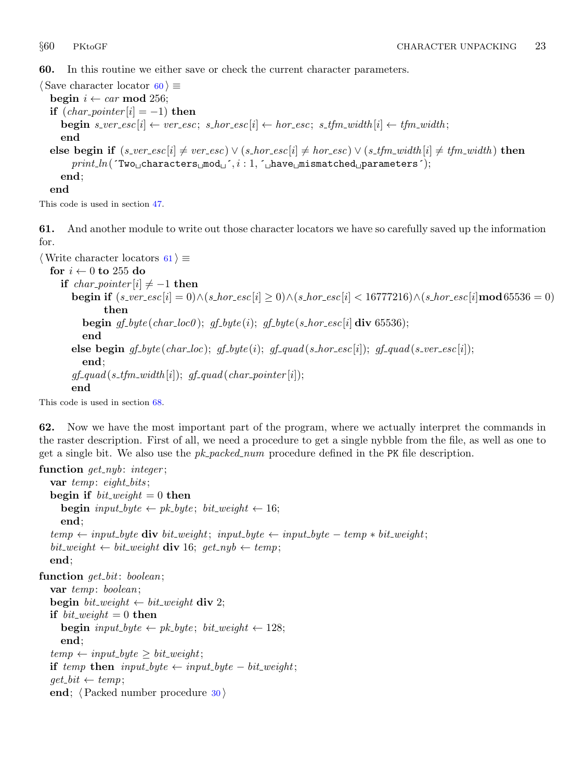<span id="page-22-0"></span>60. In this routine we either save or check the current character parameters.

 $\langle$  Save character locator 60  $\rangle \equiv$ begin  $i \leftarrow car \mod 256$ ; if  $(char\_pointer[i] = -1)$  then **begin** s\_ver\_esc[i]  $\leftarrow$  ver\_esc; s\_hor\_esc[i]  $\leftarrow$  hor\_esc; s\_tfm\_width[i]  $\leftarrow$  tfm\_width; end else begin if  $(s \text{per} \text{--} \text{es} c[i] \neq \text{per} \text{--} \text{es} c[i] \neq \text{--} \text{es} c[i] \neq \text{--} \text{es} c[i] \neq \text{--} \text{es} c[i] \neq \text{--} \text{cs} c[i] \neq \text{--} \text{cs} c[i] \neq \text{--} \text{cs} c[i] \neq \text{--} \text{cs} c[i] \neq \text{--} \text{cs} c[i] \neq \text{--} \text{cs} c[i] \neq \text{--} \text{cs} c[i] \neq \text{$  $print\_ln($  Two<sub> $\cup$ </sub>characters $\cup$ mod $\cup$   $\cdot$ ,  $i : 1$ ,  $\cup$ have $\cup$ mismatched $\cup$ parameters $\cdot$ ); end; end

This code is used in section [47](#page-19-0).

61. And another module to write out those character locators we have so carefully saved up the information for.

 $\langle$  Write character locators 61  $\rangle$  ≡ for  $i \leftarrow 0$  to 255 do if char\_pointer  $[i] \neq -1$  then begin if  $(s\_ver\_esc[i] = 0) \wedge (s\_hor\_esc[i] \geq 0) \wedge (s\_hor\_esc[i] < 16777216) \wedge (s\_hor\_esc[i] \mod 65536 = 0)$ then begin  $gf\_byte(char\_loc0); gf\_byte(i); gf\_byte(s\_hor\_esc[i] div 65536);$ end else begin  $gf_b yte(char\_loc); gf_b yte(i); gf_quad(s_hor\_esc[i]); gf_quad(s_ver\_esc[i]);$ end;  $gf_{\text{-}quad}(s_{\text{-}}tfm_{\text{-}}width[i]); gf_{\text{-}quad}(char_{\text{-}}pointer[i]);$ end

This code is used in section [68](#page-26-0).

62. Now we have the most important part of the program, where we actually interpret the commands in the raster description. First of all, we need a procedure to get a single nybble from the file, as well as one to get a single bit. We also use the  $pk\_packet\_num$  procedure defined in the PK file description.

```
function get_nyb: integer;
  var temp: eight_bits;
  begin if bit\_weight = 0 then
     begin input_byte \leftarrow pk_byte; bit_weight \leftarrow 16;
     end;
  temp \leftarrow input\_byte div bit_weight; input_byte \leftarrow input\_byte - temp * bit\_weight;bit\_weight \leftarrow bit\_weight div 16; get\_nyb \leftarrow temp;
  end;
function get_bit: boolean;
  var temp: boolean;
  begin bit_weight \leftarrow bit_weight div 2;
  if bit\_weight = 0 then
     begin input_byte \leftarrow pk_byte; bit_weight \leftarrow 128;
     end;
  temp \leftarrow input\_byte \geq bit\_weight;if temp then input_byte \leftarrow input\_byte - bit\_weight;qet\_bit \leftarrow temp;end; \langle30 \rangle
```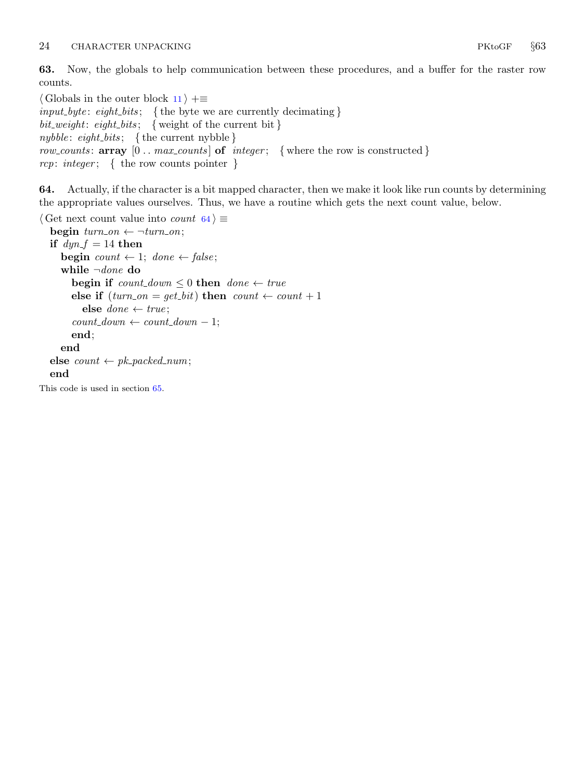<span id="page-23-0"></span>63. Now, the globals to help communication between these procedures, and a buffer for the raster row counts.

 $\langle$  Globals in the outer block [11](#page-3-0)  $\rangle$  +≡  $input\_byte: eight\_bits;$  { the byte we are currently decimating }  $bit\_weight:$  eight\_bits; { weight of the current bit} nybble: eight\_bits; { the current nybble } row counts: array  $[0 \tcdot \text{max_counts}]$  of integer; {where the row is constructed} rcp: integer; { the row counts pointer }

64. Actually, if the character is a bit mapped character, then we make it look like run counts by determining the appropriate values ourselves. Thus, we have a routine which gets the next count value, below.

```
\langle Get next count value into count 64 \rangle \equivbegin turn\_on \leftarrow \neg turn\_on;if dyn.f = 14 then
     begin count \leftarrow 1; done \leftarrow false;
     while \neg done do
        begin if count\_down \leq 0 then done \leftarrow trueelse if (turn\_on = get\_bit) then count \leftarrow count + 1else done \leftarrow true;
        count\_down \leftarrow count\_down - 1;end;
     end
  else count \leftarrow pk\_packet\_num;end
This code is used in section 65.
```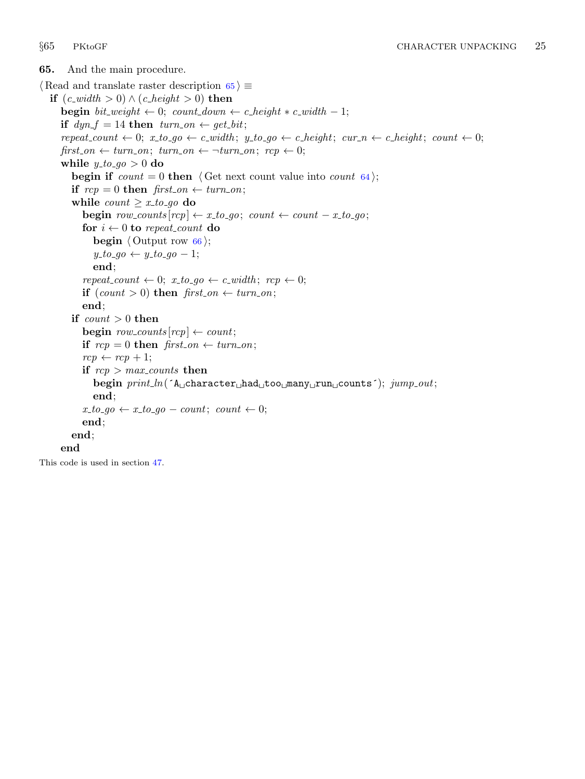<span id="page-24-0"></span>65. And the main procedure.

```
\langle Read and translate raster description 65 \rangle \equivif (c\_width > 0) \wedge (c\_height > 0) then
     begin bit_weight \leftarrow 0; count_down \leftarrow c_height \ast c_width -1;
     if dyn_f = 14 then turn_{on} \leftarrow get\_bit;repeat\_count \leftarrow 0; x\_to\_go \leftarrow c\_width; y\_to\_go \leftarrow c\_height; cur\_n \leftarrow c\_height; count \leftarrow 0;first_on \leftarrow turn\_on; turn_on \leftarrow \neg turn\_on; rcp \leftarrow 0;
     while y_{\text{-}}to_{\text{-}go} > 0 do
        begin if count = 0 then \langle64\rangle;
        if rep = 0 then first\_on \leftarrow turn\_on;while count \geq x\_to\_go do
           begin row\_counts[rcp] \leftarrow x_to_go; count \leftarrow count - x_to_go;for i \leftarrow 0 to repeat_count do
             begin \langle66\rangle;
              y\_to\_go \leftarrow y\_to\_go - 1;end;
           repeat\_count \leftarrow 0; x\_to\_go \leftarrow c\_width; rep \leftarrow 0;if (count > 0) then first\_on \leftarrow turn\_on;end;
        if count > 0 then
           begin row_counts [rcp] \leftarrow count;if rep = 0 then first\_on \leftarrow turn\_on;rcp \leftarrow rcp + 1;if rep > max_counts then
             \textbf{begin}~print\_ln( ^A_character_had_too_many_run_counts^); jump_out;
             end;
           x\_to\_go \leftarrow x\_to\_go - count; count \leftarrow 0;
           end;
        end;
     end
This code is used in section 47.
```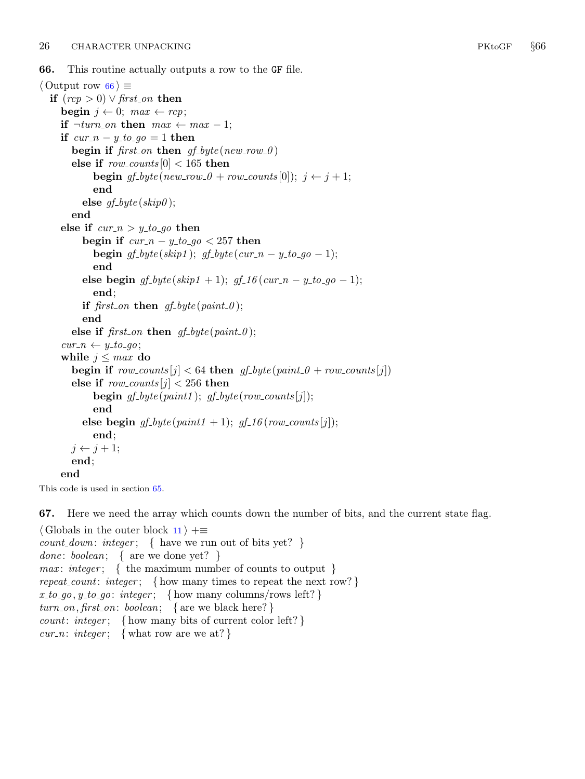```
\langle Output row 66 \rangle \equivif (rep>0) \vee first\_on then
    begin j \leftarrow 0; max \leftarrow rep;
    if \neg turn\_on then max \leftarrow max - 1;
    if cur_n - y_to_qo = 1 then
       begin if first\_on then gf\_byte(new\_row_0)else if row\_counts[0] < 165 then
            begin gf\_byte(new\_row_0 + row\_counts[0]); j \leftarrow j + 1;end
          else qf\_byte (skip\theta);
       end
    else if cur_n > y_to_qo then
         begin if cur_n - y_to_qo < 257 then
            begin gf\_byte (skip1); gf\_byte (cur_n – y_to_go – 1);
            end
         else begin gf_byte (skip1 + 1); gf_116 (cur n – y_to_go – 1);
            end;
         if first on then gf\_byte (paint 0);
          end
       else if first\_on then gf\_byte (paint 0);
    cur_n \leftarrow y\_to\_go;while j \leq max do
       begin if row\_counts[j] < 64 then gf\_byte(paint\_0 + row\_counts[j])else if row\_counts|j| < 256 then
            begin gf\_byte (paint1); gf\_byte (row_counts [j]);
            end
          else begin qf_byte (paint1 + 1); qf_1f_0 (row_counts [j]);
            end;
       j \leftarrow j + 1;end;
    end
```
This code is used in section [65](#page-24-0).

67. Here we need the array which counts down the number of bits, and the current state flag.

 $\langle$  Globals in the outer block [11](#page-3-0)  $\rangle$  +≡ *count\_down: integer*; { have we run out of bits yet? } done: boolean; { are we done yet? } *max: integer*; { the maximum number of counts to output } repeat\_count: integer; { how many times to repeat the next row?}  $x\_to\_go, y\_to\_go: integer; \{how many columns/rows left?\}$  $turn\_on, first\_on: boolean; \{ are we black here? \}$ *count: integer*; { how many bits of current color left?} *cur\_n: integer*; { what row are we at?}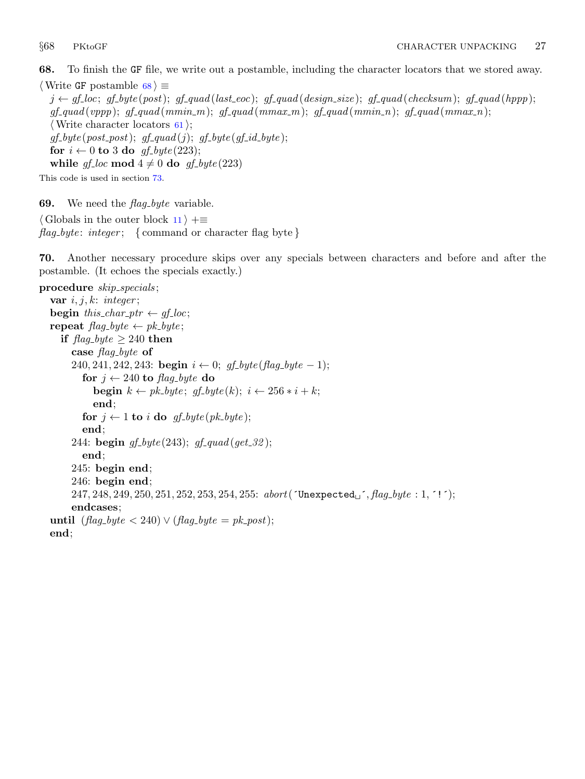<span id="page-26-0"></span>68. To finish the GF file, we write out a postamble, including the character locators that we stored away.

 $\langle$  Write GF postamble 68  $\rangle$  ≡  $j \leftarrow gf\_loc; gf\_byte(post); gf\_quad(last\_eco); gf\_quad(design\_size); gf\_quad(lchecksum); gf\_quad(lhypp);$  $gf_{\text{1}}(w_{\text{1}}(w_{\text{1}}))$ ;  $gf_{\text{1}}(w_{\text{1}}(w_{\text{1}}))$ ;  $gf_{\text{1}}(w_{\text{1}}(w_{\text{1}}(w_{\text{1}}))$ ;  $gf_{\text{1}}(w_{\text{1}}(w_{\text{1}}(w_{\text{1}}))$ ;  $gf_{\text{1}}(w_{\text{1}}(w_{\text{1}}(w_{\text{1}}))$ ;  $gf_{\text{1}}(w_{\text{1}}(w_{\text{1}}(w_{\text{1}}))$ ;  $gf_{\text{1}}(w_{\text{1}}(w_{\text$  $\langle$  Write character locators [61](#page-22-0)  $\rangle$ ;  $gf\_byte(post\_post); gf\_quad(j); gf\_byte(gf\_id\_byte);$ for  $i \leftarrow 0$  to 3 do gf-byte (223); while gf-loc mod  $4 \neq 0$  do gf-byte (223) This code is used in section [73](#page-28-0).

**69.** We need the  $flag_byte$  variable.

```
\langle11 \rangle +≡
flag\_byte: integer; \{command or character flag byte\}
```
70. Another necessary procedure skips over any specials between characters and before and after the postamble. (It echoes the specials exactly.)

```
procedure skip_specials;
  var i, j, k: integer;begin this char ptr \leftarrow gf loc;
  repeat flag\_byte \leftarrow pk\_byte;
     if flag\_byte \geq 240 then
       case flag_byte of
       240, 241, 242, 243: begin i \leftarrow 0; gf_byte(flag_byte - 1);
          for j \leftarrow 240 to flag-byte do
            begin k \leftarrow pk_b yte; qf_b yte(k); i \leftarrow 256 * i + k;
             end;
          for j \leftarrow 1 to i do gf-byte(pk-byte);
          end;
       244: begin gf_{-}byte(243); gf_{-}quad(get_{-}32);end;
       245: begin end;
       246: begin end;
       247, 248, 249, 250, 251, 252, 253, 254, 255: abort ('Unexpected ', flag byte : 1, '!');
       endcases;
  until (flag_b yte < 240) \vee (flag_b yte = pk\_post);end;
```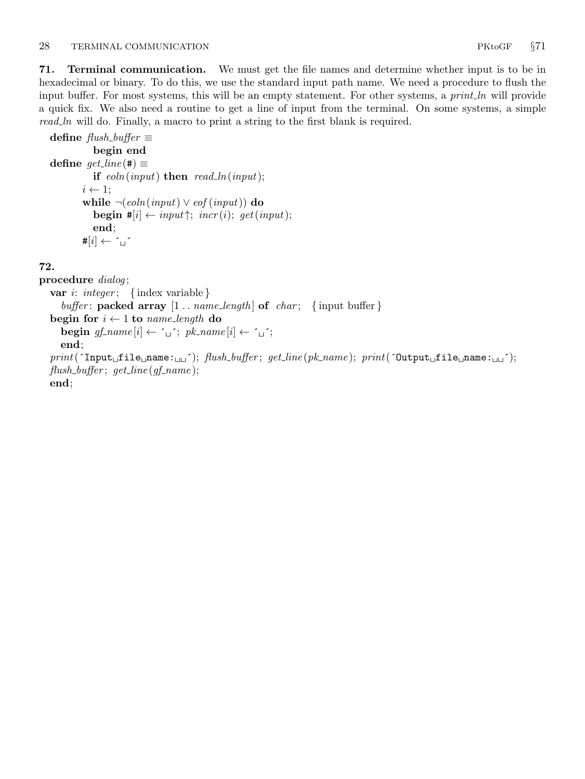<span id="page-27-0"></span>71. Terminal communication. We must get the file names and determine whether input is to be in hexadecimal or binary. To do this, we use the standard input path name. We need a procedure to flush the input buffer. For most systems, this will be an empty statement. For other systems, a *print ln* will provide a quick fix. We also need a routine to get a line of input from the terminal. On some systems, a simple read ln will do. Finally, a macro to print a string to the first blank is required.

```
define \text{f}lush_buffer \equivbegin end
define get\_line (\#) \equivif \epsilonoln(input) then \epsilonread_ln(input);
          i \leftarrow 1;
           while \neg(eoln(input) \vee cof(input)) do
              begin \#[i] \leftarrow input \uparrow; \; \textit{incr}(i); \; \textit{get}(\textit{input});end;
          \sharp[i] \leftarrow \fbox{``} \Box
```
## 72.

procedure *dialog*; var *i*: *integer*; { index variable } buffer: packed array  $[1 \tldots \tname{name_length}]$  of char; {input buffer} begin for  $i \leftarrow 1$  to name\_length do  $\textbf{begin} \hspace{0.1cm} g f\_name[i] \leftarrow \hspace{0.1cm} \hspace{0.1cm} \lnot \hspace{0.1cm} ; \hspace{0.1cm} \textit{pk\_name}[i] \leftarrow \hspace{0.1cm} \lnot \hspace{0.1cm} ; \hspace{0.1cm}$ end;  $print($   $'Input_\sqcup file_\sqcup name:_{\sqcup \sqcup})$ ;  $flush_\sqcup uffer; get-line(pk_name); print($   $Output_\sqcup file_\sqcup name:_{\sqcup \sqcup})$ ;  $flush_buffer; get\_line(gf_name);$ end;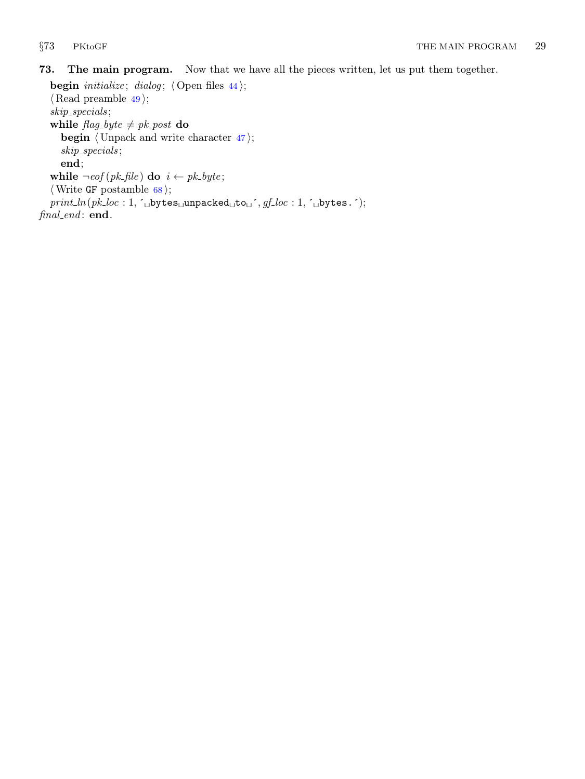### <span id="page-28-0"></span>73. The main program. Now that we have all the pieces written, let us put them together.

begin *initialize*; *dialog*;  $\langle$  Open files [44](#page-17-0) $\rangle$ ;  $\langle$  Read preamble [49](#page-19-0) $\rangle$ ; skip specials ; while  $flag\_byte \neq pk\_post$  do **begin**  $\langle$  Unpack and write character [47](#page-19-0) $\rangle$ ; skip specials ; end; while  $\neg \textit{eof} \left(\textit{pk}\textit{file}\right) \textbf{do} \textit{i} \leftarrow \textit{pk}\textit{byte};$  $\langle$  Write GF postamble [68](#page-26-0) $\rangle$ ;  $print\_ln(pk\_loc: 1, \Delta)$  bytes $\Box$ unpacked $\Box$ to $\Box$ ,  $gf\_loc: 1, \Delta$ bytes. $\Box$ ; final\_end: end.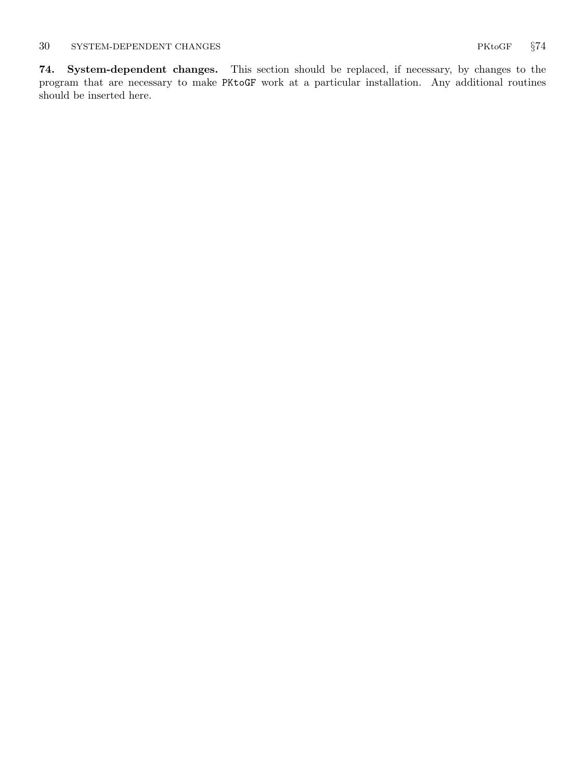<span id="page-29-0"></span>74. System-dependent changes. This section should be replaced, if necessary, by changes to the program that are necessary to make PKtoGF work at a particular installation. Any additional routines should be inserted here.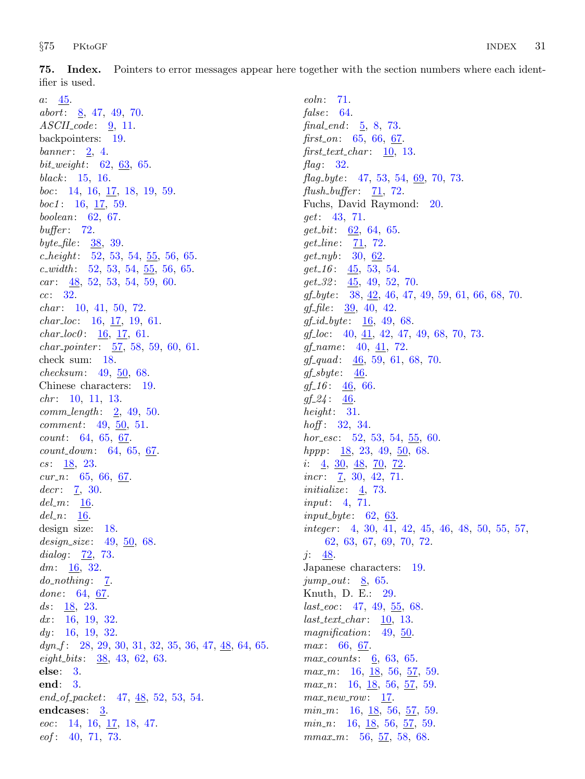<span id="page-30-0"></span>75. Index. Pointers to error messages appear here together with the section numbers where each identifier is used.

a: [45.](#page-18-0) abort: [8,](#page-2-0) [47,](#page-19-0) [49](#page-19-0), [70](#page-26-0).  $ASCII\_{code}: 9, 11.$  $ASCII\_{code}: 9, 11.$  $ASCII\_{code}: 9, 11.$  $ASCII\_{code}: 9, 11.$ backpointers: [19.](#page-8-0) banner: [2](#page-1-0), [4.](#page-1-0)  $bit\_weight: 62, 63, 65.$  $bit\_weight: 62, 63, 65.$  $bit\_weight: 62, 63, 65.$  $bit\_weight: 62, 63, 65.$  $bit\_weight: 62, 63, 65.$  $bit\_weight: 62, 63, 65.$  $bit\_weight: 62, 63, 65.$ black:  $15, 16$  $15, 16$ . boc: [14](#page-5-0), [16](#page-6-0), [17,](#page-7-0) [18,](#page-8-0) [19](#page-8-0), [59.](#page-21-0)  $boc1: 16, 17, 59.$  $boc1: 16, 17, 59.$  $boc1: 16, 17, 59.$  $boc1: 16, 17, 59.$  $boc1: 16, 17, 59.$  $boc1: 16, 17, 59.$ boolean: [62](#page-22-0), [67](#page-25-0).  $buffer: 72.$  $buffer: 72.$  $buffer: 72.$ byte  $file: 38, 39.$  $file: 38, 39.$  $file: 38, 39.$  $file: 38, 39.$ c height: [52](#page-20-0), [53](#page-20-0), [54](#page-20-0), [55](#page-20-0), [56](#page-21-0), [65](#page-24-0).  $c_width$ : [52](#page-20-0), [53](#page-20-0), [54,](#page-20-0) [55,](#page-20-0) [56,](#page-21-0) [65.](#page-24-0)  $car: 48, 52, 53, 54, 59, 60.$  $car: 48, 52, 53, 54, 59, 60.$  $car: 48, 52, 53, 54, 59, 60.$  $car: 48, 52, 53, 54, 59, 60.$  $car: 48, 52, 53, 54, 59, 60.$  $car: 48, 52, 53, 54, 59, 60.$  $car: 48, 52, 53, 54, 59, 60.$  $car: 48, 52, 53, 54, 59, 60.$  $car: 48, 52, 53, 54, 59, 60.$  $car: 48, 52, 53, 54, 59, 60.$  $car: 48, 52, 53, 54, 59, 60.$  $car: 48, 52, 53, 54, 59, 60.$  $car: 48, 52, 53, 54, 59, 60.$ cc: [32](#page-14-0).  $char: 10, 41, 50, 72.$  $char: 10, 41, 50, 72.$  $char: 10, 41, 50, 72.$  $char: 10, 41, 50, 72.$  $char: 10, 41, 50, 72.$  $char: 10, 41, 50, 72.$  $char: 10, 41, 50, 72.$  $char: 10, 41, 50, 72.$  $char: 10, 41, 50, 72.$  $char\_loc: 16, 17, 19, 61.$  $char\_loc: 16, 17, 19, 61.$  $char\_loc: 16, 17, 19, 61.$  $char\_loc: 16, 17, 19, 61.$  $char\_loc: 16, 17, 19, 61.$  $char\_loc: 16, 17, 19, 61.$  $char\_loc: 16, 17, 19, 61.$  $char\_loc: 16, 17, 19, 61.$  $char\_loc0: 16, 17, 61.$  $char\_loc0: 16, 17, 61.$  $char\_loc0: 16, 17, 61.$  $char\_loc0: 16, 17, 61.$  $char\_loc0: 16, 17, 61.$  $char\_loc0: 16, 17, 61.$  $char\_loc0: 16, 17, 61.$  $char\_pointer: \underline{57}, 58, 59, 60, 61.$  $char\_pointer: \underline{57}, 58, 59, 60, 61.$  $char\_pointer: \underline{57}, 58, 59, 60, 61.$  $char\_pointer: \underline{57}, 58, 59, 60, 61.$  $char\_pointer: \underline{57}, 58, 59, 60, 61.$  $char\_pointer: \underline{57}, 58, 59, 60, 61.$  $char\_pointer: \underline{57}, 58, 59, 60, 61.$  $char\_pointer: \underline{57}, 58, 59, 60, 61.$  $char\_pointer: \underline{57}, 58, 59, 60, 61.$  $char\_pointer: \underline{57}, 58, 59, 60, 61.$  $char\_pointer: \underline{57}, 58, 59, 60, 61.$ check sum: [18.](#page-8-0) checksum: [49](#page-19-0), [50](#page-19-0), [68.](#page-26-0) Chinese characters: [19](#page-8-0).  $chr: 10, 11, 13.$  $chr: 10, 11, 13.$  $chr: 10, 11, 13.$  $chr: 10, 11, 13.$  $chr: 10, 11, 13.$  $chr: 10, 11, 13.$  $chr: 10, 11, 13.$  $comm\_length: 2, 49, 50.$  $comm\_length: 2, 49, 50.$  $comm\_length: 2, 49, 50.$  $comm\_length: 2, 49, 50.$  $comm\_length: 2, 49, 50.$  $comm\_length: 2, 49, 50.$  $comment: 49, 50, 51.$  $comment: 49, 50, 51.$  $comment: 49, 50, 51.$  $comment: 49, 50, 51.$  $comment: 49, 50, 51.$  $comment: 49, 50, 51.$  $comment: 49, 50, 51.$  $count: 64, 65, 67.$  $count: 64, 65, 67.$  $count: 64, 65, 67.$  $count: 64, 65, 67.$  $count: 64, 65, 67.$  $count: 64, 65, 67.$  $count: 64, 65, 67.$  $count\_down: 64, 65, 67.$  $count\_down: 64, 65, 67.$  $count\_down: 64, 65, 67.$  $count\_down: 64, 65, 67.$  $count\_down: 64, 65, 67.$  $count\_down: 64, 65, 67.$  $count\_down: 64, 65, 67.$  $cs: 18, 23.$  $cs: 18, 23.$  $cs: 18, 23.$  $cs: 18, 23.$  $cur_n: 65, 66, 67.$  $cur_n: 65, 66, 67.$  $cur_n: 65, 66, 67.$  $cur_n: 65, 66, 67.$  $cur_n: 65, 66, 67.$  $cur_n: 65, 66, 67.$  $cur_n: 65, 66, 67.$ decr:  $7, 30.$  $7, 30.$  $7, 30.$  $7, 30.$  $del_m: 16$  $del_m: 16$ .  $del_n$ : [16](#page-6-0). design size: [18](#page-8-0). design\_size:  $49, 50, 68$  $49, 50, 68$  $49, 50, 68$  $49, 50, 68$ . dialog:  $72, 73$  $72, 73$  $72, 73$ . dm: [16](#page-6-0), [32](#page-14-0).  $do\_nothinging:$   $\underline{7}.$  $\underline{7}.$  $\underline{7}.$ done:  $64, 67.$  $64, 67.$  $64, 67.$  $64, 67.$ ds:  $\frac{18}{23}$  $\frac{18}{23}$  $\frac{18}{23}$  $\frac{18}{23}$  $\frac{18}{23}$ . dx: [16](#page-6-0), [19](#page-8-0), [32](#page-14-0).  $dy: 16, 19, 32.$  $dy: 16, 19, 32.$  $dy: 16, 19, 32.$  $dy: 16, 19, 32.$  $dy: 16, 19, 32.$  $dy: 16, 19, 32.$  $dy: 16, 19, 32.$  $dyn.f: 28, 29, 30, 31, 32, 35, 36, 47, 48, 64, 65.$  $dyn.f: 28, 29, 30, 31, 32, 35, 36, 47, 48, 64, 65.$  $dyn.f: 28, 29, 30, 31, 32, 35, 36, 47, 48, 64, 65.$  $dyn.f: 28, 29, 30, 31, 32, 35, 36, 47, 48, 64, 65.$  $dyn.f: 28, 29, 30, 31, 32, 35, 36, 47, 48, 64, 65.$  $dyn.f: 28, 29, 30, 31, 32, 35, 36, 47, 48, 64, 65.$  $dyn.f: 28, 29, 30, 31, 32, 35, 36, 47, 48, 64, 65.$  $dyn.f: 28, 29, 30, 31, 32, 35, 36, 47, 48, 64, 65.$  $dyn.f: 28, 29, 30, 31, 32, 35, 36, 47, 48, 64, 65.$  $dyn.f: 28, 29, 30, 31, 32, 35, 36, 47, 48, 64, 65.$  $dyn.f: 28, 29, 30, 31, 32, 35, 36, 47, 48, 64, 65.$  $dyn.f: 28, 29, 30, 31, 32, 35, 36, 47, 48, 64, 65.$  $dyn.f: 28, 29, 30, 31, 32, 35, 36, 47, 48, 64, 65.$  $dyn.f: 28, 29, 30, 31, 32, 35, 36, 47, 48, 64, 65.$  $dyn.f: 28, 29, 30, 31, 32, 35, 36, 47, 48, 64, 65.$  $dyn.f: 28, 29, 30, 31, 32, 35, 36, 47, 48, 64, 65.$  $dyn.f: 28, 29, 30, 31, 32, 35, 36, 47, 48, 64, 65.$  $dyn.f: 28, 29, 30, 31, 32, 35, 36, 47, 48, 64, 65.$  $dyn.f: 28, 29, 30, 31, 32, 35, 36, 47, 48, 64, 65.$  $dyn.f: 28, 29, 30, 31, 32, 35, 36, 47, 48, 64, 65.$  $dyn.f: 28, 29, 30, 31, 32, 35, 36, 47, 48, 64, 65.$  $dyn.f: 28, 29, 30, 31, 32, 35, 36, 47, 48, 64, 65.$  $eight\_bits: 38, 43, 62, 63.$  $eight\_bits: 38, 43, 62, 63.$  $eight\_bits: 38, 43, 62, 63.$  $eight\_bits: 38, 43, 62, 63.$  $eight\_bits: 38, 43, 62, 63.$  $eight\_bits: 38, 43, 62, 63.$  $eight\_bits: 38, 43, 62, 63.$  $eight\_bits: 38, 43, 62, 63.$ else: [3](#page-1-0). end: [3](#page-1-0). end of packet:  $47, 48, 52, 53, 54.$  $47, 48, 52, 53, 54.$  $47, 48, 52, 53, 54.$  $47, 48, 52, 53, 54.$  $47, 48, 52, 53, 54.$  $47, 48, 52, 53, 54.$  $47, 48, 52, 53, 54.$  $47, 48, 52, 53, 54.$  $47, 48, 52, 53, 54.$ endcases: [3](#page-1-0). *eoc*: [14](#page-5-0), [16,](#page-6-0) [17](#page-7-0), [18,](#page-8-0) [47](#page-19-0).  $eof$  : [40,](#page-17-0) [71,](#page-27-0) [73](#page-28-0).

eoln: [71](#page-27-0). false:  $64.$  $64.$ final\_end:  $5, 8, 73$  $5, 8, 73$  $5, 8, 73$  $5, 8, 73$ . first\_on: [65](#page-24-0), [66](#page-25-0), [67.](#page-25-0)  $first\_text\_char: 10, 13.$  $first\_text\_char: 10, 13.$  $first\_text\_char: 10, 13.$  $first\_text\_char: 10, 13.$  $first\_text\_char: 10, 13.$ flag:  $32$ . flag byte: [47](#page-19-0), [53](#page-20-0), [54](#page-20-0), [69,](#page-26-0) [70,](#page-26-0) [73.](#page-28-0)  $flush_buffer: 71, 72.$  $flush_buffer: 71, 72.$  $flush_buffer: 71, 72.$  $flush_buffer: 71, 72.$ Fuchs, David Raymond: [20.](#page-9-0) get: [43,](#page-17-0) [71.](#page-27-0) get bit: [62](#page-22-0), [64](#page-23-0), [65.](#page-24-0) get\_line: [71,](#page-27-0) [72.](#page-27-0)  $get_nyb: 30, 62.$  $get_nyb: 30, 62.$  $get_nyb: 30, 62.$  $get_nyb: 30, 62.$  $get_1 6: 45, 53, 54.$  $get_1 6: 45, 53, 54.$  $get_1 6: 45, 53, 54.$  $get_1 6: 45, 53, 54.$  $get_1 6: 45, 53, 54.$  $get_1 6: 45, 53, 54.$  $get_1 6: 45, 53, 54.$  $get\_32$ : [45,](#page-18-0) [49](#page-19-0), [52](#page-20-0), [70.](#page-26-0)  $gf\_byte: 38, 42, 46, 47, 49, 59, 61, 66, 68, 70.$  $gf\_byte: 38, 42, 46, 47, 49, 59, 61, 66, 68, 70.$  $gf\_byte: 38, 42, 46, 47, 49, 59, 61, 66, 68, 70.$  $gf\_byte: 38, 42, 46, 47, 49, 59, 61, 66, 68, 70.$  $gf\_byte: 38, 42, 46, 47, 49, 59, 61, 66, 68, 70.$  $gf\_byte: 38, 42, 46, 47, 49, 59, 61, 66, 68, 70.$  $gf\_byte: 38, 42, 46, 47, 49, 59, 61, 66, 68, 70.$  $gf\_byte: 38, 42, 46, 47, 49, 59, 61, 66, 68, 70.$  $gf\_byte: 38, 42, 46, 47, 49, 59, 61, 66, 68, 70.$  $gf\_byte: 38, 42, 46, 47, 49, 59, 61, 66, 68, 70.$  $gf\_byte: 38, 42, 46, 47, 49, 59, 61, 66, 68, 70.$  $gf\_byte: 38, 42, 46, 47, 49, 59, 61, 66, 68, 70.$  $gf\_byte: 38, 42, 46, 47, 49, 59, 61, 66, 68, 70.$  $gf\_byte: 38, 42, 46, 47, 49, 59, 61, 66, 68, 70.$  $gf\_byte: 38, 42, 46, 47, 49, 59, 61, 66, 68, 70.$  $gf\_byte: 38, 42, 46, 47, 49, 59, 61, 66, 68, 70.$  $gf\_byte: 38, 42, 46, 47, 49, 59, 61, 66, 68, 70.$  $gf\_byte: 38, 42, 46, 47, 49, 59, 61, 66, 68, 70.$  $gf\_byte: 38, 42, 46, 47, 49, 59, 61, 66, 68, 70.$  $gf\_byte: 38, 42, 46, 47, 49, 59, 61, 66, 68, 70.$ gf file:  $\frac{39}{9}$ , [40,](#page-17-0) [42.](#page-17-0)  $gf_id\_byte: 16, 49, 68.$  $gf_id\_byte: 16, 49, 68.$  $gf_id\_byte: 16, 49, 68.$  $gf_id\_byte: 16, 49, 68.$  $gf_id\_byte: 16, 49, 68.$  $gf_id\_byte: 16, 49, 68.$  $gf\_loc$ : [40,](#page-17-0)  $\underline{41}$ , [42](#page-17-0), [47](#page-19-0), [49,](#page-19-0) [68,](#page-26-0) [70,](#page-26-0) [73](#page-28-0). gf\_name:  $40, \underline{41}, 72$  $40, \underline{41}, 72$  $40, \underline{41}, 72$  $40, \underline{41}, 72$  $40, \underline{41}, 72$ .  $gf_{\text{-}}quad: \underline{46}, 59, 61, 68, 70.$  $gf_{\text{-}}quad: \underline{46}, 59, 61, 68, 70.$  $gf_{\text{-}}quad: \underline{46}, 59, 61, 68, 70.$  $gf_{\text{-}}quad: \underline{46}, 59, 61, 68, 70.$  $gf_{\text{-}}quad: \underline{46}, 59, 61, 68, 70.$  $gf_{\text{-}}quad: \underline{46}, 59, 61, 68, 70.$  $gf_{\text{-}}quad: \underline{46}, 59, 61, 68, 70.$  $gf_{\text{-}}quad: \underline{46}, 59, 61, 68, 70.$  $gf_sbyte: 46$ .  $gf_1 16 : \underline{46}$  $gf_1 16 : \underline{46}$  $gf_1 16 : \underline{46}$ , [66](#page-25-0).  $gf_224: 46.$  $gf_224: 46.$  $gf_224: 46.$ height: [31.](#page-14-0) *hoff*:  $32, 34$  $32, 34$ . *hor\_esc*:  $52, 53, 54, 55, 60.$  $52, 53, 54, 55, 60.$  $52, 53, 54, 55, 60.$  $52, 53, 54, 55, 60.$  $52, 53, 54, 55, 60.$  $52, 53, 54, 55, 60.$  $52, 53, 54, 55, 60.$  $52, 53, 54, 55, 60.$  $52, 53, 54, 55, 60.$  $52, 53, 54, 55, 60.$  $hppp: \underline{18}, 23, 49, \underline{50}, 68.$  $hppp: \underline{18}, 23, 49, \underline{50}, 68.$  $hppp: \underline{18}, 23, 49, \underline{50}, 68.$  $hppp: \underline{18}, 23, 49, \underline{50}, 68.$  $hppp: \underline{18}, 23, 49, \underline{50}, 68.$  $hppp: \underline{18}, 23, 49, \underline{50}, 68.$  $hppp: \underline{18}, 23, 49, \underline{50}, 68.$  $hppp: \underline{18}, 23, 49, \underline{50}, 68.$ i:  $\frac{4}{30}, \frac{30}{48}, \frac{48}{70}, \frac{72}{12}$  $\frac{4}{30}, \frac{30}{48}, \frac{48}{70}, \frac{72}{12}$  $\frac{4}{30}, \frac{30}{48}, \frac{48}{70}, \frac{72}{12}$  $\frac{4}{30}, \frac{30}{48}, \frac{48}{70}, \frac{72}{12}$  $\frac{4}{30}, \frac{30}{48}, \frac{48}{70}, \frac{72}{12}$  $\frac{4}{30}, \frac{30}{48}, \frac{48}{70}, \frac{72}{12}$  $\frac{4}{30}, \frac{30}{48}, \frac{48}{70}, \frac{72}{12}$  $incr: \quad 7, 30, 42, 71.$  $incr: \quad 7, 30, 42, 71.$  $incr: \quad 7, 30, 42, 71.$  $incr: \quad 7, 30, 42, 71.$  $incr: \quad 7, 30, 42, 71.$  $incr: \quad 7, 30, 42, 71.$  $incr: \quad 7, 30, 42, 71.$  $incr: \quad 7, 30, 42, 71.$ initialize: [4](#page-1-0), [73](#page-28-0). input: [4,](#page-1-0) [71.](#page-27-0)  $input\_byte: 62, 63$  $input\_byte: 62, 63$  $input\_byte: 62, 63$  $input\_byte: 62, 63$ . integer: [4,](#page-1-0) [30](#page-13-0), [41](#page-17-0), [42,](#page-17-0) [45](#page-18-0), [46,](#page-18-0) [48,](#page-19-0) [50](#page-19-0), [55,](#page-20-0) [57](#page-21-0), [62,](#page-22-0) [63](#page-23-0), [67,](#page-25-0) [69](#page-26-0), [70](#page-26-0), [72.](#page-27-0) j:  $\frac{48}{3}$  $\frac{48}{3}$  $\frac{48}{3}$ . Japanese characters: [19](#page-8-0).  $jump_out: 8, 65.$  $jump_out: 8, 65.$  $jump_out: 8, 65.$  $jump_out: 8, 65.$  $jump_out: 8, 65.$ Knuth, D. E.: [29](#page-13-0).  $last\_eoc: 47, 49, 55, 68.$  $last\_eoc: 47, 49, 55, 68.$  $last\_eoc: 47, 49, 55, 68.$  $last\_eoc: 47, 49, 55, 68.$  $last\_eoc: 47, 49, 55, 68.$  $last\_eoc: 47, 49, 55, 68.$  $last\_eoc: 47, 49, 55, 68.$  $last\_eoc: 47, 49, 55, 68.$  $last\_eoc: 47, 49, 55, 68.$  $last\_text\_char: 10, 13.$  $last\_text\_char: 10, 13.$  $last\_text\_char: 10, 13.$  $last\_text\_char: 10, 13.$  $last\_text\_char: 10, 13.$ magnification: [49](#page-19-0), [50.](#page-19-0)  $max: 66, 67.$  $max: 66, 67.$  $max: 66, 67.$  $max: 66, 67.$  $max: 66, 67.$  $max\_counts: 6, 63, 65.$  $max\_counts: 6, 63, 65.$  $max\_counts: 6, 63, 65.$  $max\_counts: 6, 63, 65.$  $max\_counts: 6, 63, 65.$  $max\_counts: 6, 63, 65.$  $max\_counts: 6, 63, 65.$  $max_m: 16, 18, 56, 57, 59.$  $max_m: 16, 18, 56, 57, 59.$  $max_m: 16, 18, 56, 57, 59.$  $max_m: 16, 18, 56, 57, 59.$  $max_m: 16, 18, 56, 57, 59.$  $max_m: 16, 18, 56, 57, 59.$  $max_m: 16, 18, 56, 57, 59.$  $max_m: 16, 18, 56, 57, 59.$  $max_m: 16, 18, 56, 57, 59.$  $max_m: 16, 18, 56, 57, 59.$  $max_n$ : [16](#page-6-0), [18](#page-8-0), [56,](#page-21-0) [57](#page-21-0), [59.](#page-21-0)  $max_new_{row}: 17.$  $max_new_{row}: 17.$  $min_m: 16, 18, 56, 57, 59.$  $min_m: 16, 18, 56, 57, 59.$  $min_m: 16, 18, 56, 57, 59.$  $min_m: 16, 18, 56, 57, 59.$  $min_m: 16, 18, 56, 57, 59.$  $min_m: 16, 18, 56, 57, 59.$  $min_m: 16, 18, 56, 57, 59.$  $min_m: 16, 18, 56, 57, 59.$  $min_m: 16, 18, 56, 57, 59.$  $min_m: 16, 18, 56, 57, 59.$  $min\ n: 16, 18, 56, 57, 59.$  $min\ n: 16, 18, 56, 57, 59.$  $min\ n: 16, 18, 56, 57, 59.$  $min\ n: 16, 18, 56, 57, 59.$  $min\ n: 16, 18, 56, 57, 59.$  $min\ n: 16, 18, 56, 57, 59.$  $min\ n: 16, 18, 56, 57, 59.$  $min\ n: 16, 18, 56, 57, 59.$  $min\ n: 16, 18, 56, 57, 59.$  $min\ n: 16, 18, 56, 57, 59.$  $$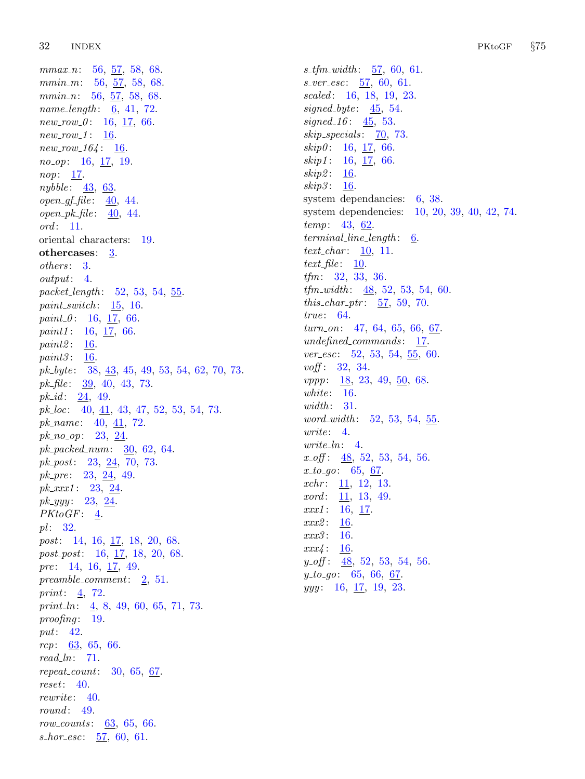$$ 

 $mmin_m: 56, 57, 58, 68.$  $mmin_m: 56, 57, 58, 68.$  $mmin_m: 56, 57, 58, 68.$  $mmin_m: 56, 57, 58, 68.$  $mmin_m: 56, 57, 58, 68.$  $mmin_m: 56, 57, 58, 68.$  $mmin_m: 56, 57, 58, 68.$  $mmin_m: 56, 57, 58, 68.$  $mmin_m: 56, 57, 58, 68.$  $$ name\_length: [6,](#page-1-0) [41](#page-17-0), [72.](#page-27-0)  $new_{1}ow_{0}: 16, 17, 66.$  $new_{1}ow_{0}: 16, 17, 66.$  $new_{1}ow_{0}: 16, 17, 66.$  $new_{1}ow_{0}: 16, 17, 66.$  $new_{1}ow_{0}: 16, 17, 66.$  $new_{1}ow_{0}: 16, 17, 66.$  $new_{1}ow_{0}: 16, 17, 66.$  $new_{row\_1}: 16.$  $new_{row\_1}: 16.$  $new_{row\_1}: 16.$  $new_{164}: 16.$  $new_{164}: 16.$  $new_{164}: 16.$  $no\_op: 16, 17, 19.$  $no\_op: 16, 17, 19.$  $no\_op: 16, 17, 19.$  $no\_op: 16, 17, 19.$  $no\_op: 16, 17, 19.$  $no\_op: 16, 17, 19.$  $no\_op: 16, 17, 19.$ nop: [17.](#page-7-0) nybble:  $\frac{43}{5}$ , [63.](#page-23-0)  $open\_gf\_file: 40, 44.$  $open\_gf\_file: 40, 44.$  $open\_gf\_file: 40, 44.$  $open\_gf\_file: 40, 44.$  $open\_gf\_file: 40, 44.$  $open\_pk\_file: 40, 44.$  $open\_pk\_file: 40, 44.$  $open\_pk\_file: 40, 44.$  $open\_pk\_file: 40, 44.$  $open\_pk\_file: 40, 44.$ ord: [11](#page-3-0). oriental characters: [19](#page-8-0). othercases: [3.](#page-1-0) others: [3](#page-1-0). output: [4.](#page-1-0) packet\_length: [52](#page-20-0), [53](#page-20-0), [54,](#page-20-0) [55.](#page-20-0) paint\_switch:  $15, 16$  $15, 16$ .  $paint_0 : 16, 17, 66.$  $paint_0 : 16, 17, 66.$  $paint_0 : 16, 17, 66.$  $paint_0 : 16, 17, 66.$  $paint_0 : 16, 17, 66.$  $paint_0 : 16, 17, 66.$  $paint_0 : 16, 17, 66.$  $paint1: 16, 17, 66.$  $paint1: 16, 17, 66.$  $paint1: 16, 17, 66.$  $paint1: 16, 17, 66.$  $paint1: 16, 17, 66.$  $paint1: 16, 17, 66.$ paint $2: 16$  $2: 16$ . paint $3: \underline{16}$  $3: \underline{16}$  $3: \underline{16}$ . pk byte : [38,](#page-17-0) [43](#page-17-0), [45,](#page-18-0) [49](#page-19-0), [53,](#page-20-0) [54](#page-20-0), [62,](#page-22-0) [70](#page-26-0), [73.](#page-28-0) pk\_file:  $\frac{39}{90}$  $\frac{39}{90}$  $\frac{39}{90}$ , [40,](#page-17-0) [43](#page-17-0), [73.](#page-28-0)  $pk\_id$ :  $24, 49$  $24, 49$ .  $pk\_loc:$  [40,](#page-17-0)  $41, 43, 47, 52, 53, 54, 73.$  $41, 43, 47, 52, 53, 54, 73.$  $41, 43, 47, 52, 53, 54, 73.$  $41, 43, 47, 52, 53, 54, 73.$  $41, 43, 47, 52, 53, 54, 73.$  $41, 43, 47, 52, 53, 54, 73.$  $41, 43, 47, 52, 53, 54, 73.$  $41, 43, 47, 52, 53, 54, 73.$  $41, 43, 47, 52, 53, 54, 73.$  $41, 43, 47, 52, 53, 54, 73.$  $41, 43, 47, 52, 53, 54, 73.$  $41, 43, 47, 52, 53, 54, 73.$  $41, 43, 47, 52, 53, 54, 73.$  $41, 43, 47, 52, 53, 54, 73.$  $pk_name: 40, 41, 72.$  $pk_name: 40, 41, 72.$  $pk_name: 40, 41, 72.$  $pk_name: 40, 41, 72.$  $pk_name: 40, 41, 72.$  $pk_name: 40, 41, 72.$  $pk_name: 40, 41, 72.$  $pk_{10} \n o_{10} \n : \quad 23, \ \underline{24}.$  $pk_{10} \n o_{10} \n : \quad 23, \ \underline{24}.$  $pk_{10} \n o_{10} \n : \quad 23, \ \underline{24}.$  $pk\_packet1num: 30, 62, 64.$  $pk\_packet1num: 30, 62, 64.$  $pk\_packet1num: 30, 62, 64.$  $pk\_packet1num: 30, 62, 64.$  $pk\_packet1num: 30, 62, 64.$  $pk\_packet1num: 30, 62, 64.$  $pk\_post: 23, 24, 70, 73.$  $pk\_post: 23, 24, 70, 73.$  $pk\_post: 23, 24, 70, 73.$  $pk\_post: 23, 24, 70, 73.$  $pk\_post: 23, 24, 70, 73.$  $pk\_post: 23, 24, 70, 73.$  $pk\_post: 23, 24, 70, 73.$  $pk\_post: 23, 24, 70, 73.$  $pk\_post: 23, 24, 70, 73.$  $pk\_pre: 23, 24, 49.$  $pk\_pre: 23, 24, 49.$  $pk\_pre: 23, 24, 49.$  $pk\_pre: 23, 24, 49.$  $pk\_pre: 23, 24, 49.$  $pk\_pre: 23, 24, 49.$  $pk\_pre: 23, 24, 49.$  $pk\_xxx1$ : [23,](#page-11-0) [24.](#page-11-0)  $pk\_yyy$ : [23,](#page-11-0) [24.](#page-11-0)  $PKtoGF: \underline{4}.$  $pl: 32.$  $pl: 32.$ post: [14](#page-5-0), [16](#page-6-0), [17,](#page-7-0) [18](#page-8-0), [20](#page-9-0), [68.](#page-26-0) post\_post: [16,](#page-6-0) [17](#page-7-0), [18](#page-8-0), [20,](#page-9-0) [68.](#page-26-0) pre: [14](#page-5-0), [16](#page-6-0), [17,](#page-7-0) [49.](#page-19-0) preamble comment: [2,](#page-1-0) [51](#page-19-0). print:  $\frac{4}{72}$  $\frac{4}{72}$  $\frac{4}{72}$ . print  $\ln$ : [4](#page-1-0), [8](#page-2-0), [49](#page-19-0), [60](#page-22-0), [65](#page-24-0), [71](#page-27-0), [73](#page-28-0). proofing: [19](#page-8-0). put: [42.](#page-17-0)  $rcp: 63, 65, 66.$  $rcp: 63, 65, 66.$  $rcp: 63, 65, 66.$  $rcp: 63, 65, 66.$  $rcp: 63, 65, 66.$  $rcp: 63, 65, 66.$  $rcp: 63, 65, 66.$  $read\_ln: 71$ . repeat count: [30,](#page-13-0) [65](#page-24-0), [67.](#page-25-0) reset: [40](#page-17-0). rewrite: [40.](#page-17-0) round: [49](#page-19-0). row\_counts: [63,](#page-23-0) [65](#page-24-0), [66.](#page-25-0) s *hor esc*: [57,](#page-21-0) [60](#page-22-0), [61](#page-22-0).

 $s_t$  tfm width:  $\frac{57}{0000}$  $\frac{57}{0000}$  $\frac{57}{0000}$ , [61](#page-22-0). s ver esc: [57,](#page-21-0) [60](#page-22-0), [61](#page-22-0). scaled : [16](#page-6-0), [18,](#page-8-0) [19](#page-8-0), [23.](#page-11-0) signed byte:  $45, 54$  $45, 54$  $45, 54$ . signed  $16: 45, 53$  $16: 45, 53$  $16: 45, 53$ .  $skip\_step$ .  $skip0: 16, 17, 66.$  $skip0: 16, 17, 66.$  $skip0: 16, 17, 66.$  $skip0: 16, 17, 66.$  $skip0: 16, 17, 66.$  $skip0: 16, 17, 66.$  $skip0: 16, 17, 66.$  $skip 1: 16, 17, 66.$  $skip 1: 16, 17, 66.$  $skip 1: 16, 17, 66.$  $skip 1: 16, 17, 66.$  $skip 1: 16, 17, 66.$  $skip 1: 16, 17, 66.$  $skip 1: 16, 17, 66.$  $skip2: 16.$  $skip2: 16.$  $skip2: 16.$  $skip3: 16.$  $skip3: 16.$  $skip3: 16.$ system dependancies: [6](#page-1-0), [38](#page-17-0). system dependencies: [10,](#page-3-0) [20](#page-9-0), [39,](#page-17-0) [40,](#page-17-0) [42](#page-17-0), [74.](#page-29-0) temp: [43,](#page-17-0) [62](#page-22-0).  $terminal\_line\_length: 6$  $terminal\_line\_length: 6$ . text\_char:  $10$ , [11.](#page-3-0) text\_file:  $10$ . tfm: [32](#page-14-0), [33](#page-15-0), [36](#page-16-0).  $tfm_width: \quad 48, \; 52, \; 53, \; 54, \; 60.$  $tfm_width: \quad 48, \; 52, \; 53, \; 54, \; 60.$  $tfm_width: \quad 48, \; 52, \; 53, \; 54, \; 60.$  $tfm_width: \quad 48, \; 52, \; 53, \; 54, \; 60.$  $tfm_width: \quad 48, \; 52, \; 53, \; 54, \; 60.$  $tfm_width: \quad 48, \; 52, \; 53, \; 54, \; 60.$  $tfm_width: \quad 48, \; 52, \; 53, \; 54, \; 60.$  $tfm_width: \quad 48, \; 52, \; 53, \; 54, \; 60.$  $tfm_width: \quad 48, \; 52, \; 53, \; 54, \; 60.$  $tfm_width: \quad 48, \; 52, \; 53, \; 54, \; 60.$  $tfm_width: \quad 48, \; 52, \; 53, \; 54, \; 60.$ this char ptr:  $57, 59, 70$  $57, 59, 70$  $57, 59, 70$  $57, 59, 70$ .  $true: 64.$  $true: 64.$  $true: 64.$  $turn\_on: 47, 64, 65, 66, 67.$  $turn\_on: 47, 64, 65, 66, 67.$  $turn\_on: 47, 64, 65, 66, 67.$  $turn\_on: 47, 64, 65, 66, 67.$  $turn\_on: 47, 64, 65, 66, 67.$  $turn\_on: 47, 64, 65, 66, 67.$  $turn\_on: 47, 64, 65, 66, 67.$  $turn\_on: 47, 64, 65, 66, 67.$  $turn\_on: 47, 64, 65, 66, 67.$  $turn\_on: 47, 64, 65, 66, 67.$  $undefined_{\rm} = \frac{17}{2}$ . *ver\_esc*:  $52, 53, 54, \underline{55}, 60$  $52, 53, 54, \underline{55}, 60$  $52, 53, 54, \underline{55}, 60$  $52, 53, 54, \underline{55}, 60$  $52, 53, 54, \underline{55}, 60$  $52, 53, 54, \underline{55}, 60$  $52, 53, 54, \underline{55}, 60$ .  $\omega f: 32, 34.$  $\omega f: 32, 34.$  $\omega f: 32, 34.$  $\omega f: 32, 34.$  $\omega f: 32, 34.$  $vppp: \quad \underline{18}, \; 23, \; 49, \; \underline{50}, \; 68.$  $vppp: \quad \underline{18}, \; 23, \; 49, \; \underline{50}, \; 68.$  $vppp: \quad \underline{18}, \; 23, \; 49, \; \underline{50}, \; 68.$  $vppp: \quad \underline{18}, \; 23, \; 49, \; \underline{50}, \; 68.$  $vppp: \quad \underline{18}, \; 23, \; 49, \; \underline{50}, \; 68.$  $vppp: \quad \underline{18}, \; 23, \; 49, \; \underline{50}, \; 68.$  $vppp: \quad \underline{18}, \; 23, \; 49, \; \underline{50}, \; 68.$  $vppp: \quad \underline{18}, \; 23, \; 49, \; \underline{50}, \; 68.$  $vppp: \quad \underline{18}, \; 23, \; 49, \; \underline{50}, \; 68.$ white:  $16$ . width:  $31.$  $31.$ word width: [52](#page-20-0), [53,](#page-20-0) [54,](#page-20-0) [55](#page-20-0).  $write: 4.$  $write: 4.$  $write\_ln: 4$ .  $x \text{-} \text{off}$ : [48,](#page-19-0) [52](#page-20-0), [53,](#page-20-0) [54](#page-20-0), [56.](#page-21-0)  $x\_to\_go: 65, 67.$  $x\_to\_go: 65, 67.$  $x\_to\_go: 65, 67.$  $x\_to\_go: 65, 67.$  $xchr: 11, 12, 13.$  $xchr: 11, 12, 13.$  $xchr: 11, 12, 13.$  $xchr: 11, 12, 13.$  $xchr: 11, 12, 13.$  $xchr: 11, 12, 13.$  $xord: 11, 13, 49.$  $xord: 11, 13, 49.$  $xord: 11, 13, 49.$  $xord: 11, 13, 49.$  $xord: 11, 13, 49.$  $xord: 11, 13, 49.$  $xxx1: 16, 17.$  $xxx1: 16, 17.$  $xxx1: 16, 17.$  $xxx1: 16, 17.$ xxx2: [16](#page-6-0).  $xxx3: 16.$  $xxx3: 16.$  $xxx3: 16.$  $xxx4: 16.$  $xxx4: 16.$  $xxx4: 16.$  $y \text{-} \text{off}$  :  $48, 52, 53, 54, 56$  $48, 52, 53, 54, 56$  $48, 52, 53, 54, 56$  $48, 52, 53, 54, 56$  $48, 52, 53, 54, 56$  $48, 52, 53, 54, 56$  $48, 52, 53, 54, 56$  $48, 52, 53, 54, 56$ .  $y\_to\_go: 65, 66, 67.$  $y\_to\_go: 65, 66, 67.$  $y\_to\_go: 65, 66, 67.$  $y\_to\_go: 65, 66, 67.$  $y\_to\_go: 65, 66, 67.$  $y\_to\_go: 65, 66, 67.$  $yyy: 16, 17, 19, 23.$  $yyy: 16, 17, 19, 23.$  $yyy: 16, 17, 19, 23.$  $yyy: 16, 17, 19, 23.$  $yyy: 16, 17, 19, 23.$  $yyy: 16, 17, 19, 23.$  $yyy: 16, 17, 19, 23.$  $yyy: 16, 17, 19, 23.$